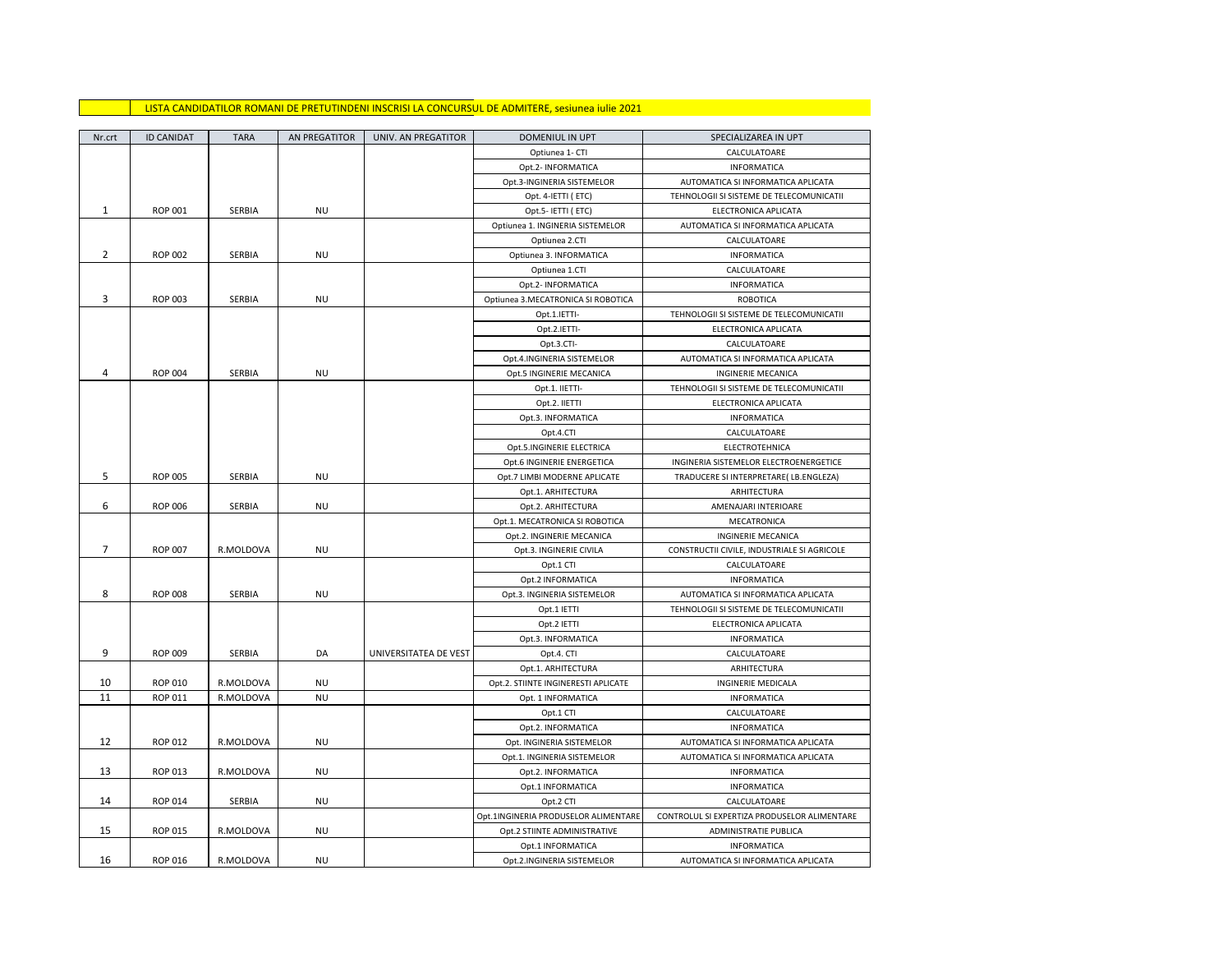## LISTA CANDIDATILOR ROMANI DE PRETUTINDENI INSCRISI LA CONCURSUL DE ADMITERE, sesiunea iulie 2021

| Nr.crt         | <b>ID CANIDAT</b> | <b>TARA</b> | AN PREGATITOR | UNIV. AN PREGATITOR   | DOMENIUL IN UPT                      | SPECIALIZAREA IN UPT                         |
|----------------|-------------------|-------------|---------------|-----------------------|--------------------------------------|----------------------------------------------|
|                |                   |             |               |                       | Optiunea 1- CTI                      | CALCULATOARE                                 |
|                |                   |             |               |                       | Opt.2- INFORMATICA                   | <b>INFORMATICA</b>                           |
|                |                   |             |               |                       | Opt.3-INGINERIA SISTEMELOR           | AUTOMATICA SI INFORMATICA APLICATA           |
|                |                   |             |               |                       | Opt. 4-IETTI (ETC)                   | TEHNOLOGII SI SISTEME DE TELECOMUNICATII     |
| $\mathbf{1}$   | <b>ROP 001</b>    | SERBIA      | NU            |                       | Opt.5- IETTI (ETC)                   | ELECTRONICA APLICATA                         |
|                |                   |             |               |                       | Optiunea 1. INGINERIA SISTEMELOR     | AUTOMATICA SI INFORMATICA APLICATA           |
|                |                   |             |               |                       | Optiunea 2.CTI                       | CALCULATOARE                                 |
| $\overline{2}$ | <b>ROP 002</b>    | SERBIA      | <b>NU</b>     |                       | Optiunea 3. INFORMATICA              | INFORMATICA                                  |
|                |                   |             |               |                       | Optiunea 1.CTI                       | CALCULATOARE                                 |
|                |                   |             |               |                       | Opt.2- INFORMATICA                   | <b>INFORMATICA</b>                           |
| 3              | <b>ROP 003</b>    | SERBIA      | <b>NU</b>     |                       | Optiunea 3.MECATRONICA SI ROBOTICA   | <b>ROBOTICA</b>                              |
|                |                   |             |               |                       | Opt.1.IETTI-                         | TEHNOLOGII SI SISTEME DE TELECOMUNICATII     |
|                |                   |             |               |                       | Opt.2.IETTI-                         | ELECTRONICA APLICATA                         |
|                |                   |             |               |                       | Opt.3.CTI-                           | CALCULATOARE                                 |
|                |                   |             |               |                       | Opt.4.INGINERIA SISTEMELOR           | AUTOMATICA SI INFORMATICA APLICATA           |
| 4              | <b>ROP 004</b>    | SERBIA      | <b>NU</b>     |                       | Opt.5 INGINERIE MECANICA             | <b>INGINERIE MECANICA</b>                    |
|                |                   |             |               |                       | Opt.1. IIETTI-                       | TEHNOLOGII SI SISTEME DE TELECOMUNICATII     |
|                |                   |             |               |                       | Opt.2. IIETTI                        | ELECTRONICA APLICATA                         |
|                |                   |             |               |                       | Opt.3. INFORMATICA                   | <b>INFORMATICA</b>                           |
|                |                   |             |               |                       | Opt.4.CTI                            | CALCULATOARE                                 |
|                |                   |             |               |                       | Opt.5.INGINERIE ELECTRICA            | ELECTROTEHNICA                               |
|                |                   |             |               |                       | Opt.6 INGINERIE ENERGETICA           | INGINERIA SISTEMELOR ELECTROENERGETICE       |
| 5              | <b>ROP 005</b>    | SERBIA      | NU            |                       | Opt.7 LIMBI MODERNE APLICATE         | TRADUCERE SI INTERPRETARE( LB.ENGLEZA)       |
|                |                   |             |               |                       | Opt.1. ARHITECTURA                   | ARHITECTURA                                  |
| 6              | <b>ROP 006</b>    | SERBIA      | <b>NU</b>     |                       | Opt.2. ARHITECTURA                   | AMENAJARI INTERIOARE                         |
|                |                   |             |               |                       | Opt.1. MECATRONICA SI ROBOTICA       | MECATRONICA                                  |
|                |                   |             |               |                       | Opt.2. INGINERIE MECANICA            | <b>INGINERIE MECANICA</b>                    |
| $\overline{7}$ | <b>ROP 007</b>    | R.MOLDOVA   | <b>NU</b>     |                       | Opt.3. INGINERIE CIVILA              | CONSTRUCTII CIVILE, INDUSTRIALE SI AGRICOLE  |
|                |                   |             |               |                       | Opt.1 CTI                            | CALCULATOARE                                 |
|                |                   |             |               |                       | Opt.2 INFORMATICA                    | <b>INFORMATICA</b>                           |
| 8              | <b>ROP 008</b>    | SERBIA      | <b>NU</b>     |                       | Opt.3. INGINERIA SISTEMELOR          | AUTOMATICA SI INFORMATICA APLICATA           |
|                |                   |             |               |                       | Opt.1 IETTI                          | TEHNOLOGII SI SISTEME DE TELECOMUNICATII     |
|                |                   |             |               |                       | Opt.2 IETTI                          | ELECTRONICA APLICATA                         |
|                |                   |             |               |                       | Opt.3. INFORMATICA                   | <b>INFORMATICA</b>                           |
| 9              | <b>ROP 009</b>    | SERBIA      | DA            | UNIVERSITATEA DE VEST | Opt.4. CTI                           | CALCULATOARE                                 |
|                |                   |             |               |                       | Opt.1. ARHITECTURA                   | ARHITECTURA                                  |
| 10             | <b>ROP 010</b>    | R.MOLDOVA   | <b>NU</b>     |                       | Opt.2. STIINTE INGINERESTI APLICATE  | INGINERIE MEDICALA                           |
| 11             | <b>ROP 011</b>    | R.MOLDOVA   | <b>NU</b>     |                       | Opt. 1 INFORMATICA                   | <b>INFORMATICA</b>                           |
|                |                   |             |               |                       | Opt.1 CTI                            | CALCULATOARE                                 |
|                |                   |             |               |                       | Opt.2. INFORMATICA                   | <b>INFORMATICA</b>                           |
| 12             | <b>ROP 012</b>    | R.MOLDOVA   | <b>NU</b>     |                       | Opt. INGINERIA SISTEMELOR            | AUTOMATICA SI INFORMATICA APLICATA           |
|                |                   |             |               |                       | Opt.1. INGINERIA SISTEMELOR          | AUTOMATICA SI INFORMATICA APLICATA           |
| 13             | <b>ROP 013</b>    | R.MOLDOVA   | NU            |                       | Opt.2. INFORMATICA                   | <b>INFORMATICA</b>                           |
|                |                   |             |               |                       | Opt.1 INFORMATICA                    | <b>INFORMATICA</b>                           |
| 14             | <b>ROP 014</b>    | SERBIA      | <b>NU</b>     |                       | Opt.2 CTI                            | CALCULATOARE                                 |
|                |                   |             |               |                       | Opt.1INGINERIA PRODUSELOR ALIMENTARE | CONTROLUL SI EXPERTIZA PRODUSELOR ALIMENTARE |
| 15             | <b>ROP 015</b>    | R.MOLDOVA   | NU            |                       | Opt.2 STIINTE ADMINISTRATIVE         | ADMINISTRATIE PUBLICA                        |
|                |                   |             |               |                       | Opt.1 INFORMATICA                    | <b>INFORMATICA</b>                           |
| 16             | <b>ROP 016</b>    | R.MOLDOVA   | <b>NU</b>     |                       | Opt.2.INGINERIA SISTEMELOR           | AUTOMATICA SI INFORMATICA APLICATA           |
|                |                   |             |               |                       |                                      |                                              |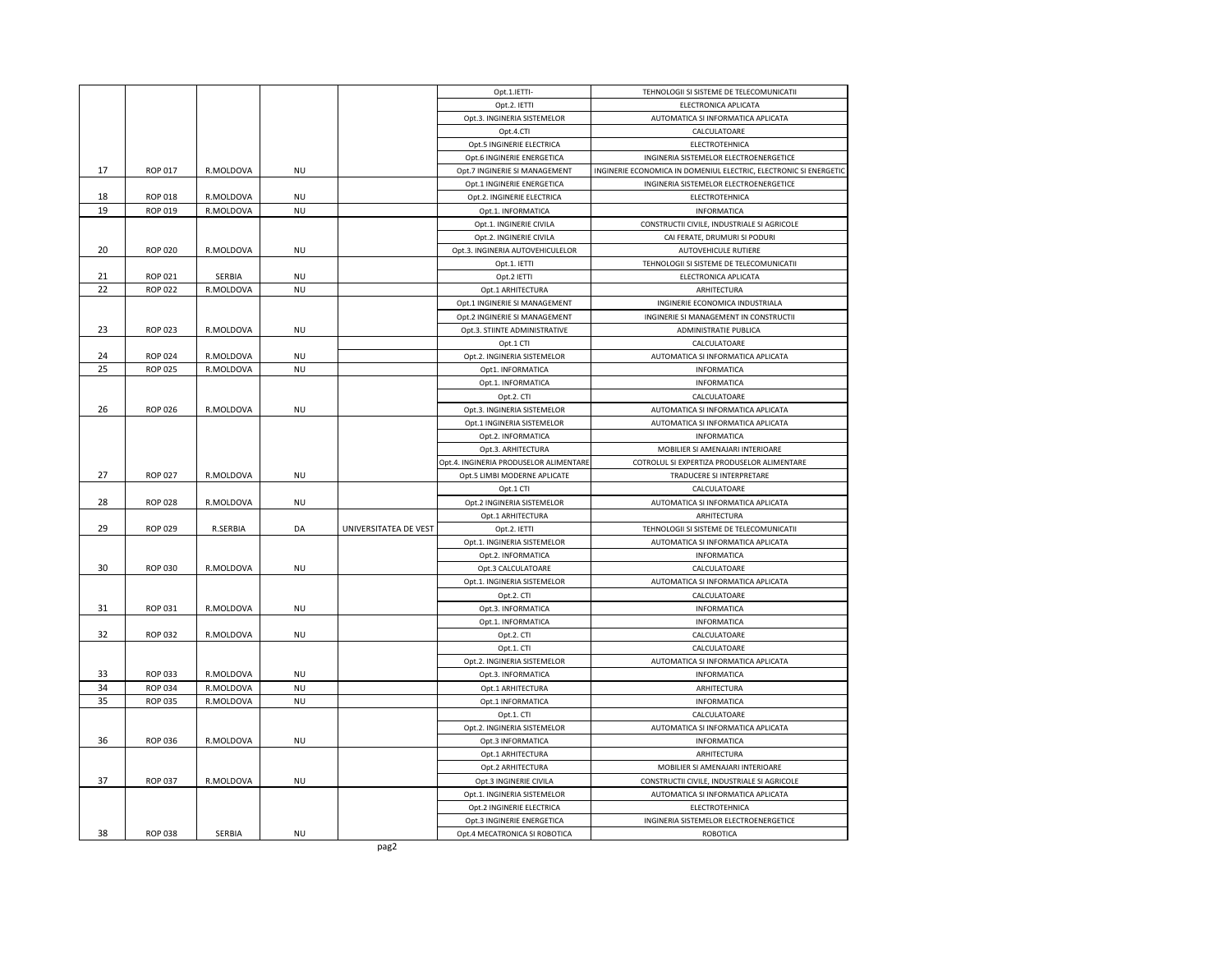|    |                |           |           |                       | Opt.1.IETTI-                              | TEHNOLOGII SI SISTEME DE TELECOMUNICATII                                        |
|----|----------------|-----------|-----------|-----------------------|-------------------------------------------|---------------------------------------------------------------------------------|
|    |                |           |           |                       | Opt.2. IETTI                              | ELECTRONICA APLICATA                                                            |
|    |                |           |           |                       | Opt.3. INGINERIA SISTEMELOR               | AUTOMATICA SI INFORMATICA APLICATA                                              |
|    |                |           |           |                       | Opt.4.CTI                                 | CALCULATOARE                                                                    |
|    |                |           |           |                       | Opt.5 INGINERIE ELECTRICA                 | ELECTROTEHNICA                                                                  |
|    |                |           |           |                       | Opt.6 INGINERIE ENERGETICA                | INGINERIA SISTEMELOR ELECTROENERGETICE                                          |
| 17 | <b>ROP 017</b> | R.MOLDOVA | <b>NU</b> |                       | Opt.7 INGINERIE SI MANAGEMENT             | INGINERIE ECONOMICA IN DOMENIUL ELECTRIC, ELECTRONIC SI ENERGETIC               |
|    |                |           |           |                       | Opt.1 INGINERIE ENERGETICA                | INGINERIA SISTEMELOR ELECTROENERGETICE                                          |
| 18 | <b>ROP 018</b> | R.MOLDOVA | <b>NU</b> |                       | Opt.2. INGINERIE ELECTRICA                | ELECTROTEHNICA                                                                  |
| 19 | ROP 019        | R.MOLDOVA | <b>NU</b> |                       | Opt.1. INFORMATICA                        | INFORMATICA                                                                     |
|    |                |           |           |                       | Opt.1. INGINERIE CIVILA                   | CONSTRUCTII CIVILE, INDUSTRIALE SI AGRICOLE                                     |
|    |                |           |           |                       | Opt.2. INGINERIE CIVILA                   | CAI FERATE, DRUMURI SI PODURI                                                   |
| 20 | <b>ROP 020</b> | R.MOLDOVA | <b>NU</b> |                       | Opt.3. INGINERIA AUTOVEHICULELOR          | <b>AUTOVEHICULE RUTIERE</b>                                                     |
|    |                |           |           |                       | Opt.1. IETTI                              | TEHNOLOGII SI SISTEME DE TELECOMUNICATII                                        |
| 21 | ROP 021        | SERBIA    | <b>NU</b> |                       | Opt.2 IETTI                               | ELECTRONICA APLICATA                                                            |
| 22 | <b>ROP 022</b> | R.MOLDOVA | <b>NU</b> |                       | Opt.1 ARHITECTURA                         | ARHITECTURA                                                                     |
|    |                |           |           |                       | Opt.1 INGINERIE SI MANAGEMENT             | INGINERIE ECONOMICA INDUSTRIALA                                                 |
|    |                |           |           |                       | Opt.2 INGINERIE SI MANAGEMENT             | INGINERIE SI MANAGEMENT IN CONSTRUCTII                                          |
| 23 | <b>ROP 023</b> | R.MOLDOVA | <b>NU</b> |                       | Opt.3. STIINTE ADMINISTRATIVE             | ADMINISTRATIE PUBLICA                                                           |
|    |                |           |           |                       | Opt.1 CTI                                 | CALCULATOARE                                                                    |
| 24 | <b>ROP 024</b> | R.MOLDOVA | <b>NU</b> |                       | Opt.2. INGINERIA SISTEMELOR               | AUTOMATICA SI INFORMATICA APLICATA                                              |
| 25 | <b>ROP 025</b> | R.MOLDOVA | <b>NU</b> |                       | Opt1. INFORMATICA                         | INFORMATICA                                                                     |
|    |                |           |           |                       | Opt.1. INFORMATICA                        | INFORMATICA                                                                     |
|    |                |           |           |                       | Opt.2. CTI                                | CALCULATOARE                                                                    |
| 26 | <b>ROP 026</b> | R.MOLDOVA | <b>NU</b> |                       | Opt.3. INGINERIA SISTEMELOR               | AUTOMATICA SI INFORMATICA APLICATA                                              |
|    |                |           |           |                       | Opt.1 INGINERIA SISTEMELOR                | AUTOMATICA SI INFORMATICA APLICATA                                              |
|    |                |           |           |                       | Opt.2. INFORMATICA                        | INFORMATICA                                                                     |
|    |                |           |           |                       | Opt.3. ARHITECTURA                        | MOBILIER SI AMENAJARI INTERIOARE                                                |
|    |                |           |           |                       | Opt.4. INGINERIA PRODUSELOR ALIMENTARE    | COTROLUL SI EXPERTIZA PRODUSELOR ALIMENTARE                                     |
| 27 | <b>ROP 027</b> | R.MOLDOVA | NU        |                       | Opt.5 LIMBI MODERNE APLICATE              | TRADUCERE SI INTERPRETARE                                                       |
|    |                |           |           |                       | Opt.1 CTI                                 | CALCULATOARE                                                                    |
| 28 | <b>ROP 028</b> | R.MOLDOVA | <b>NU</b> |                       | Opt.2 INGINERIA SISTEMELOR                | AUTOMATICA SI INFORMATICA APLICATA                                              |
|    |                |           |           |                       | Opt.1 ARHITECTURA                         | ARHITECTURA                                                                     |
| 29 | <b>ROP 029</b> | R.SERBIA  | DA        | UNIVERSITATEA DE VEST | Opt.2. IETTI                              | TEHNOLOGII SI SISTEME DE TELECOMUNICATII                                        |
|    |                |           |           |                       | Opt.1. INGINERIA SISTEMELOR               | AUTOMATICA SI INFORMATICA APLICATA                                              |
|    |                |           |           |                       | Opt.2. INFORMATICA                        | INFORMATICA                                                                     |
| 30 | ROP 030        | R.MOLDOVA | <b>NU</b> |                       | Opt.3 CALCULATOARE                        | CALCULATOARE                                                                    |
|    |                |           |           |                       | Opt.1. INGINERIA SISTEMELOR               | AUTOMATICA SI INFORMATICA APLICATA                                              |
|    |                |           |           |                       | Opt.2. CTI                                | CALCULATOARE                                                                    |
| 31 | ROP 031        | R.MOLDOVA | <b>NU</b> |                       | Opt.3. INFORMATICA                        | INFORMATICA                                                                     |
|    |                |           |           |                       |                                           |                                                                                 |
| 32 | <b>ROP 032</b> | R.MOLDOVA | NU        |                       | Opt.1. INFORMATICA<br>Opt.2. CTI          | INFORMATICA<br>CALCULATOARE                                                     |
|    |                |           |           |                       | Opt.1. CTI                                | CALCULATOARE                                                                    |
|    |                |           |           |                       | Opt.2. INGINERIA SISTEMELOR               | AUTOMATICA SI INFORMATICA APLICATA                                              |
| 33 | ROP 033        | R.MOLDOVA | <b>NU</b> |                       | Opt.3. INFORMATICA                        | INFORMATICA                                                                     |
| 34 | <b>ROP 034</b> | R.MOLDOVA | <b>NU</b> |                       | Opt.1 ARHITECTURA                         | ARHITECTURA                                                                     |
| 35 | <b>ROP 035</b> | R.MOLDOVA | <b>NU</b> |                       | Opt.1 INFORMATICA                         | INFORMATICA                                                                     |
|    |                |           |           |                       |                                           |                                                                                 |
|    |                |           |           |                       | Opt.1. CTI<br>Opt.2. INGINERIA SISTEMELOR | CALCULATOARE<br>AUTOMATICA SI INFORMATICA APLICATA                              |
| 36 | <b>ROP 036</b> | R.MOLDOVA | <b>NU</b> |                       | Opt.3 INFORMATICA                         | INFORMATICA                                                                     |
|    |                |           |           |                       | Opt.1 ARHITECTURA                         | ARHITECTURA                                                                     |
|    |                |           |           |                       |                                           |                                                                                 |
| 37 | <b>ROP 037</b> | R.MOLDOVA | <b>NU</b> |                       | Opt.2 ARHITECTURA                         | MOBILIER SI AMENAJARI INTERIOARE<br>CONSTRUCTII CIVILE, INDUSTRIALE SI AGRICOLE |
|    |                |           |           |                       | Opt.3 INGINERIE CIVILA                    |                                                                                 |
|    |                |           |           |                       | Opt.1. INGINERIA SISTEMELOR               | AUTOMATICA SI INFORMATICA APLICATA                                              |
|    |                |           |           |                       | Opt.2 INGINERIE ELECTRICA                 | ELECTROTEHNICA                                                                  |
| 38 | <b>ROP 038</b> | SERBIA    | <b>NU</b> |                       | Opt.3 INGINERIE ENERGETICA                | INGINERIA SISTEMELOR ELECTROENERGETICE                                          |
|    |                |           |           |                       | Opt.4 MECATRONICA SI ROBOTICA             | <b>ROBOTICA</b>                                                                 |
|    |                |           |           | pag2                  |                                           |                                                                                 |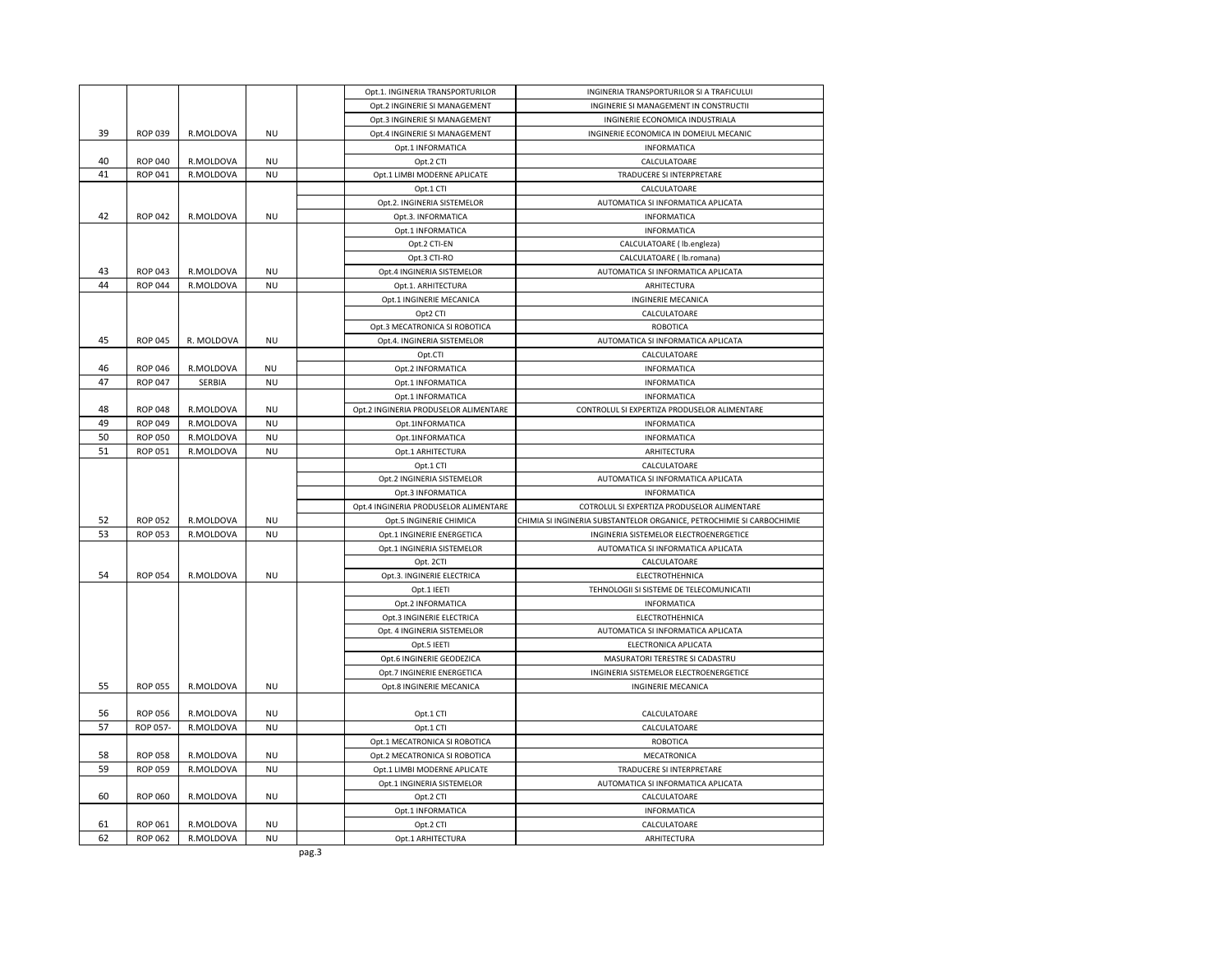| Opt.2 INGINERIE SI MANAGEMENT<br>INGINERIE SI MANAGEMENT IN CONSTRUCTII<br>Opt.3 INGINERIE SI MANAGEMENT<br>INGINERIE ECONOMICA INDUSTRIALA<br>39<br><b>ROP 039</b><br>R.MOLDOVA<br><b>NU</b><br>Opt.4 INGINERIE SI MANAGEMENT<br>INGINERIE ECONOMICA IN DOMEIUL MECANIC<br>Opt.1 INFORMATICA<br>INFORMATICA<br>40<br><b>ROP 040</b><br>R.MOLDOVA<br><b>NU</b><br>Opt.2 CTI<br>CALCULATOARE<br>41<br><b>ROP 041</b><br>R.MOLDOVA<br><b>NU</b><br>Opt.1 LIMBI MODERNE APLICATE<br>TRADUCERE SI INTERPRETARE<br>CALCULATOARE<br>Opt.1 CTI<br>Opt.2. INGINERIA SISTEMELOR<br>AUTOMATICA SI INFORMATICA APLICATA<br>42<br><b>ROP 042</b><br>R.MOLDOVA<br><b>NU</b><br>Opt.3. INFORMATICA<br><b>INFORMATICA</b><br>Opt.1 INFORMATICA<br>INFORMATICA<br>Opt.2 CTI-EN<br>CALCULATOARE ( lb.engleza)<br>Opt.3 CTI-RO<br>CALCULATOARE ( lb.romana)<br>43<br><b>ROP 043</b><br>R.MOLDOVA<br><b>NU</b><br>Opt.4 INGINERIA SISTEMELOR<br>AUTOMATICA SI INFORMATICA APLICATA<br>44<br>ROP 044<br>R.MOLDOVA<br><b>NU</b><br>Opt.1. ARHITECTURA<br>ARHITECTURA<br>Opt.1 INGINERIE MECANICA<br><b>INGINERIE MECANICA</b><br>Opt2 CTI<br>CALCULATOARE<br>Opt.3 MECATRONICA SI ROBOTICA<br>ROBOTICA<br>45<br><b>ROP 045</b><br>R. MOLDOVA<br><b>NU</b><br>Opt.4. INGINERIA SISTEMELOR<br>AUTOMATICA SI INFORMATICA APLICATA<br>Opt.CTI<br>CALCULATOARE<br>46<br><b>ROP 046</b><br>R.MOLDOVA<br><b>NU</b><br>Opt.2 INFORMATICA<br><b>INFORMATICA</b><br>47<br><b>ROP 047</b><br><b>NU</b><br>SERBIA<br>Opt.1 INFORMATICA<br>INFORMATICA<br>INFORMATICA<br>Opt.1 INFORMATICA<br>48<br><b>ROP 048</b><br>R.MOLDOVA<br><b>NU</b><br>Opt.2 INGINERIA PRODUSELOR ALIMENTARE<br>CONTROLUL SI EXPERTIZA PRODUSELOR ALIMENTARE<br>49<br><b>ROP 049</b><br>R.MOLDOVA<br><b>NU</b><br>Opt.1INFORMATICA<br>INFORMATICA<br>50<br><b>ROP 050</b><br>R.MOLDOVA<br><b>NU</b><br>INFORMATICA<br>Opt.1INFORMATICA<br>51<br><b>ROP 051</b><br>R.MOLDOVA<br><b>NU</b><br>Opt.1 ARHITECTURA<br>ARHITECTURA<br>Opt.1 CTI<br>CALCULATOARE<br>Opt.2 INGINERIA SISTEMELOR<br>AUTOMATICA SI INFORMATICA APLICATA<br>Opt.3 INFORMATICA<br><b>INFORMATICA</b><br>Opt.4 INGINERIA PRODUSELOR ALIMENTARE<br>COTROLUL SI EXPERTIZA PRODUSELOR ALIMENTARE<br>ROP 052<br>52<br>R.MOLDOVA<br><b>NU</b><br>CHIMIA SI INGINERIA SUBSTANTELOR ORGANICE, PETROCHIMIE SI CARBOCHIMIE<br>Opt.5 INGINERIE CHIMICA<br>53<br>ROP 053<br>R.MOLDOVA<br><b>NU</b><br>Opt.1 INGINERIE ENERGETICA<br>INGINERIA SISTEMELOR ELECTROENERGETICE<br>Opt.1 INGINERIA SISTEMELOR<br>AUTOMATICA SI INFORMATICA APLICATA<br>CALCULATOARE<br>Opt. 2CTI<br>54<br><b>ROP 054</b><br>R.MOLDOVA<br><b>NU</b><br>Opt.3. INGINERIE ELECTRICA<br>ELECTROTHEHNICA<br>TEHNOLOGII SI SISTEME DE TELECOMUNICATII<br>Opt.1 IEETI<br>Opt.2 INFORMATICA<br>INFORMATICA<br>Opt.3 INGINERIE ELECTRICA<br>ELECTROTHEHNICA<br>Opt. 4 INGINERIA SISTEMELOR<br>AUTOMATICA SI INFORMATICA APLICATA<br>ELECTRONICA APLICATA<br>Opt.5 IEETI<br>Opt.6 INGINERIE GEODEZICA<br>MASURATORI TERESTRE SI CADASTRU<br>Opt.7 INGINERIE ENERGETICA<br>INGINERIA SISTEMELOR ELECTROENERGETICE<br>55<br><b>ROP 055</b><br>R.MOLDOVA<br><b>NU</b><br>Opt.8 INGINERIE MECANICA<br><b>INGINERIE MECANICA</b><br>56<br><b>ROP 056</b><br>R.MOLDOVA<br><b>NU</b><br>Opt.1 CTI<br>CALCULATOARE<br>57<br>ROP 057-<br>R.MOLDOVA<br><b>NU</b><br>CALCULATOARE<br>Opt.1 CTI<br>Opt.1 MECATRONICA SI ROBOTICA<br>ROBOTICA<br>58<br><b>NU</b><br><b>ROP 058</b><br>R.MOLDOVA<br>Opt.2 MECATRONICA SI ROBOTICA<br>MECATRONICA<br>59<br><b>ROP 059</b><br>R.MOLDOVA<br><b>NU</b><br>Opt.1 LIMBI MODERNE APLICATE<br>TRADUCERE SI INTERPRETARE<br>Opt.1 INGINERIA SISTEMELOR<br>AUTOMATICA SI INFORMATICA APLICATA<br>60<br><b>NU</b><br><b>ROP 060</b><br>R.MOLDOVA<br>Opt.2 CTI<br>CALCULATOARE<br>Opt.1 INFORMATICA<br>INFORMATICA<br>61<br><b>ROP 061</b><br>R.MOLDOVA<br><b>NU</b><br>Opt.2 CTI<br>CALCULATOARE<br>62<br><b>ROP 062</b><br>R.MOLDOVA<br><b>NU</b><br>Opt.1 ARHITECTURA<br>ARHITECTURA |  |  |       | Opt.1. INGINERIA TRANSPORTURILOR | INGINERIA TRANSPORTURILOR SI A TRAFICULUI |
|-------------------------------------------------------------------------------------------------------------------------------------------------------------------------------------------------------------------------------------------------------------------------------------------------------------------------------------------------------------------------------------------------------------------------------------------------------------------------------------------------------------------------------------------------------------------------------------------------------------------------------------------------------------------------------------------------------------------------------------------------------------------------------------------------------------------------------------------------------------------------------------------------------------------------------------------------------------------------------------------------------------------------------------------------------------------------------------------------------------------------------------------------------------------------------------------------------------------------------------------------------------------------------------------------------------------------------------------------------------------------------------------------------------------------------------------------------------------------------------------------------------------------------------------------------------------------------------------------------------------------------------------------------------------------------------------------------------------------------------------------------------------------------------------------------------------------------------------------------------------------------------------------------------------------------------------------------------------------------------------------------------------------------------------------------------------------------------------------------------------------------------------------------------------------------------------------------------------------------------------------------------------------------------------------------------------------------------------------------------------------------------------------------------------------------------------------------------------------------------------------------------------------------------------------------------------------------------------------------------------------------------------------------------------------------------------------------------------------------------------------------------------------------------------------------------------------------------------------------------------------------------------------------------------------------------------------------------------------------------------------------------------------------------------------------------------------------------------------------------------------------------------------------------------------------------------------------------------------------------------------------------------------------------------------------------------------------------------------------------------------------------------------------------------------------------------------------------------------------------------------------------------------------------------------------------------------------------------------------------------------------------------------------------------------------------------------------------------------------------------------------------------------------------------------------------------------------------------------------------------------------------------------------------------------------------------------------------------------------|--|--|-------|----------------------------------|-------------------------------------------|
|                                                                                                                                                                                                                                                                                                                                                                                                                                                                                                                                                                                                                                                                                                                                                                                                                                                                                                                                                                                                                                                                                                                                                                                                                                                                                                                                                                                                                                                                                                                                                                                                                                                                                                                                                                                                                                                                                                                                                                                                                                                                                                                                                                                                                                                                                                                                                                                                                                                                                                                                                                                                                                                                                                                                                                                                                                                                                                                                                                                                                                                                                                                                                                                                                                                                                                                                                                                                                                                                                                                                                                                                                                                                                                                                                                                                                                                                                                                                                                               |  |  |       |                                  |                                           |
|                                                                                                                                                                                                                                                                                                                                                                                                                                                                                                                                                                                                                                                                                                                                                                                                                                                                                                                                                                                                                                                                                                                                                                                                                                                                                                                                                                                                                                                                                                                                                                                                                                                                                                                                                                                                                                                                                                                                                                                                                                                                                                                                                                                                                                                                                                                                                                                                                                                                                                                                                                                                                                                                                                                                                                                                                                                                                                                                                                                                                                                                                                                                                                                                                                                                                                                                                                                                                                                                                                                                                                                                                                                                                                                                                                                                                                                                                                                                                                               |  |  |       |                                  |                                           |
|                                                                                                                                                                                                                                                                                                                                                                                                                                                                                                                                                                                                                                                                                                                                                                                                                                                                                                                                                                                                                                                                                                                                                                                                                                                                                                                                                                                                                                                                                                                                                                                                                                                                                                                                                                                                                                                                                                                                                                                                                                                                                                                                                                                                                                                                                                                                                                                                                                                                                                                                                                                                                                                                                                                                                                                                                                                                                                                                                                                                                                                                                                                                                                                                                                                                                                                                                                                                                                                                                                                                                                                                                                                                                                                                                                                                                                                                                                                                                                               |  |  |       |                                  |                                           |
|                                                                                                                                                                                                                                                                                                                                                                                                                                                                                                                                                                                                                                                                                                                                                                                                                                                                                                                                                                                                                                                                                                                                                                                                                                                                                                                                                                                                                                                                                                                                                                                                                                                                                                                                                                                                                                                                                                                                                                                                                                                                                                                                                                                                                                                                                                                                                                                                                                                                                                                                                                                                                                                                                                                                                                                                                                                                                                                                                                                                                                                                                                                                                                                                                                                                                                                                                                                                                                                                                                                                                                                                                                                                                                                                                                                                                                                                                                                                                                               |  |  |       |                                  |                                           |
|                                                                                                                                                                                                                                                                                                                                                                                                                                                                                                                                                                                                                                                                                                                                                                                                                                                                                                                                                                                                                                                                                                                                                                                                                                                                                                                                                                                                                                                                                                                                                                                                                                                                                                                                                                                                                                                                                                                                                                                                                                                                                                                                                                                                                                                                                                                                                                                                                                                                                                                                                                                                                                                                                                                                                                                                                                                                                                                                                                                                                                                                                                                                                                                                                                                                                                                                                                                                                                                                                                                                                                                                                                                                                                                                                                                                                                                                                                                                                                               |  |  |       |                                  |                                           |
|                                                                                                                                                                                                                                                                                                                                                                                                                                                                                                                                                                                                                                                                                                                                                                                                                                                                                                                                                                                                                                                                                                                                                                                                                                                                                                                                                                                                                                                                                                                                                                                                                                                                                                                                                                                                                                                                                                                                                                                                                                                                                                                                                                                                                                                                                                                                                                                                                                                                                                                                                                                                                                                                                                                                                                                                                                                                                                                                                                                                                                                                                                                                                                                                                                                                                                                                                                                                                                                                                                                                                                                                                                                                                                                                                                                                                                                                                                                                                                               |  |  |       |                                  |                                           |
|                                                                                                                                                                                                                                                                                                                                                                                                                                                                                                                                                                                                                                                                                                                                                                                                                                                                                                                                                                                                                                                                                                                                                                                                                                                                                                                                                                                                                                                                                                                                                                                                                                                                                                                                                                                                                                                                                                                                                                                                                                                                                                                                                                                                                                                                                                                                                                                                                                                                                                                                                                                                                                                                                                                                                                                                                                                                                                                                                                                                                                                                                                                                                                                                                                                                                                                                                                                                                                                                                                                                                                                                                                                                                                                                                                                                                                                                                                                                                                               |  |  |       |                                  |                                           |
|                                                                                                                                                                                                                                                                                                                                                                                                                                                                                                                                                                                                                                                                                                                                                                                                                                                                                                                                                                                                                                                                                                                                                                                                                                                                                                                                                                                                                                                                                                                                                                                                                                                                                                                                                                                                                                                                                                                                                                                                                                                                                                                                                                                                                                                                                                                                                                                                                                                                                                                                                                                                                                                                                                                                                                                                                                                                                                                                                                                                                                                                                                                                                                                                                                                                                                                                                                                                                                                                                                                                                                                                                                                                                                                                                                                                                                                                                                                                                                               |  |  |       |                                  |                                           |
|                                                                                                                                                                                                                                                                                                                                                                                                                                                                                                                                                                                                                                                                                                                                                                                                                                                                                                                                                                                                                                                                                                                                                                                                                                                                                                                                                                                                                                                                                                                                                                                                                                                                                                                                                                                                                                                                                                                                                                                                                                                                                                                                                                                                                                                                                                                                                                                                                                                                                                                                                                                                                                                                                                                                                                                                                                                                                                                                                                                                                                                                                                                                                                                                                                                                                                                                                                                                                                                                                                                                                                                                                                                                                                                                                                                                                                                                                                                                                                               |  |  |       |                                  |                                           |
|                                                                                                                                                                                                                                                                                                                                                                                                                                                                                                                                                                                                                                                                                                                                                                                                                                                                                                                                                                                                                                                                                                                                                                                                                                                                                                                                                                                                                                                                                                                                                                                                                                                                                                                                                                                                                                                                                                                                                                                                                                                                                                                                                                                                                                                                                                                                                                                                                                                                                                                                                                                                                                                                                                                                                                                                                                                                                                                                                                                                                                                                                                                                                                                                                                                                                                                                                                                                                                                                                                                                                                                                                                                                                                                                                                                                                                                                                                                                                                               |  |  |       |                                  |                                           |
|                                                                                                                                                                                                                                                                                                                                                                                                                                                                                                                                                                                                                                                                                                                                                                                                                                                                                                                                                                                                                                                                                                                                                                                                                                                                                                                                                                                                                                                                                                                                                                                                                                                                                                                                                                                                                                                                                                                                                                                                                                                                                                                                                                                                                                                                                                                                                                                                                                                                                                                                                                                                                                                                                                                                                                                                                                                                                                                                                                                                                                                                                                                                                                                                                                                                                                                                                                                                                                                                                                                                                                                                                                                                                                                                                                                                                                                                                                                                                                               |  |  |       |                                  |                                           |
|                                                                                                                                                                                                                                                                                                                                                                                                                                                                                                                                                                                                                                                                                                                                                                                                                                                                                                                                                                                                                                                                                                                                                                                                                                                                                                                                                                                                                                                                                                                                                                                                                                                                                                                                                                                                                                                                                                                                                                                                                                                                                                                                                                                                                                                                                                                                                                                                                                                                                                                                                                                                                                                                                                                                                                                                                                                                                                                                                                                                                                                                                                                                                                                                                                                                                                                                                                                                                                                                                                                                                                                                                                                                                                                                                                                                                                                                                                                                                                               |  |  |       |                                  |                                           |
|                                                                                                                                                                                                                                                                                                                                                                                                                                                                                                                                                                                                                                                                                                                                                                                                                                                                                                                                                                                                                                                                                                                                                                                                                                                                                                                                                                                                                                                                                                                                                                                                                                                                                                                                                                                                                                                                                                                                                                                                                                                                                                                                                                                                                                                                                                                                                                                                                                                                                                                                                                                                                                                                                                                                                                                                                                                                                                                                                                                                                                                                                                                                                                                                                                                                                                                                                                                                                                                                                                                                                                                                                                                                                                                                                                                                                                                                                                                                                                               |  |  |       |                                  |                                           |
|                                                                                                                                                                                                                                                                                                                                                                                                                                                                                                                                                                                                                                                                                                                                                                                                                                                                                                                                                                                                                                                                                                                                                                                                                                                                                                                                                                                                                                                                                                                                                                                                                                                                                                                                                                                                                                                                                                                                                                                                                                                                                                                                                                                                                                                                                                                                                                                                                                                                                                                                                                                                                                                                                                                                                                                                                                                                                                                                                                                                                                                                                                                                                                                                                                                                                                                                                                                                                                                                                                                                                                                                                                                                                                                                                                                                                                                                                                                                                                               |  |  |       |                                  |                                           |
|                                                                                                                                                                                                                                                                                                                                                                                                                                                                                                                                                                                                                                                                                                                                                                                                                                                                                                                                                                                                                                                                                                                                                                                                                                                                                                                                                                                                                                                                                                                                                                                                                                                                                                                                                                                                                                                                                                                                                                                                                                                                                                                                                                                                                                                                                                                                                                                                                                                                                                                                                                                                                                                                                                                                                                                                                                                                                                                                                                                                                                                                                                                                                                                                                                                                                                                                                                                                                                                                                                                                                                                                                                                                                                                                                                                                                                                                                                                                                                               |  |  |       |                                  |                                           |
|                                                                                                                                                                                                                                                                                                                                                                                                                                                                                                                                                                                                                                                                                                                                                                                                                                                                                                                                                                                                                                                                                                                                                                                                                                                                                                                                                                                                                                                                                                                                                                                                                                                                                                                                                                                                                                                                                                                                                                                                                                                                                                                                                                                                                                                                                                                                                                                                                                                                                                                                                                                                                                                                                                                                                                                                                                                                                                                                                                                                                                                                                                                                                                                                                                                                                                                                                                                                                                                                                                                                                                                                                                                                                                                                                                                                                                                                                                                                                                               |  |  |       |                                  |                                           |
|                                                                                                                                                                                                                                                                                                                                                                                                                                                                                                                                                                                                                                                                                                                                                                                                                                                                                                                                                                                                                                                                                                                                                                                                                                                                                                                                                                                                                                                                                                                                                                                                                                                                                                                                                                                                                                                                                                                                                                                                                                                                                                                                                                                                                                                                                                                                                                                                                                                                                                                                                                                                                                                                                                                                                                                                                                                                                                                                                                                                                                                                                                                                                                                                                                                                                                                                                                                                                                                                                                                                                                                                                                                                                                                                                                                                                                                                                                                                                                               |  |  |       |                                  |                                           |
|                                                                                                                                                                                                                                                                                                                                                                                                                                                                                                                                                                                                                                                                                                                                                                                                                                                                                                                                                                                                                                                                                                                                                                                                                                                                                                                                                                                                                                                                                                                                                                                                                                                                                                                                                                                                                                                                                                                                                                                                                                                                                                                                                                                                                                                                                                                                                                                                                                                                                                                                                                                                                                                                                                                                                                                                                                                                                                                                                                                                                                                                                                                                                                                                                                                                                                                                                                                                                                                                                                                                                                                                                                                                                                                                                                                                                                                                                                                                                                               |  |  |       |                                  |                                           |
|                                                                                                                                                                                                                                                                                                                                                                                                                                                                                                                                                                                                                                                                                                                                                                                                                                                                                                                                                                                                                                                                                                                                                                                                                                                                                                                                                                                                                                                                                                                                                                                                                                                                                                                                                                                                                                                                                                                                                                                                                                                                                                                                                                                                                                                                                                                                                                                                                                                                                                                                                                                                                                                                                                                                                                                                                                                                                                                                                                                                                                                                                                                                                                                                                                                                                                                                                                                                                                                                                                                                                                                                                                                                                                                                                                                                                                                                                                                                                                               |  |  |       |                                  |                                           |
|                                                                                                                                                                                                                                                                                                                                                                                                                                                                                                                                                                                                                                                                                                                                                                                                                                                                                                                                                                                                                                                                                                                                                                                                                                                                                                                                                                                                                                                                                                                                                                                                                                                                                                                                                                                                                                                                                                                                                                                                                                                                                                                                                                                                                                                                                                                                                                                                                                                                                                                                                                                                                                                                                                                                                                                                                                                                                                                                                                                                                                                                                                                                                                                                                                                                                                                                                                                                                                                                                                                                                                                                                                                                                                                                                                                                                                                                                                                                                                               |  |  |       |                                  |                                           |
|                                                                                                                                                                                                                                                                                                                                                                                                                                                                                                                                                                                                                                                                                                                                                                                                                                                                                                                                                                                                                                                                                                                                                                                                                                                                                                                                                                                                                                                                                                                                                                                                                                                                                                                                                                                                                                                                                                                                                                                                                                                                                                                                                                                                                                                                                                                                                                                                                                                                                                                                                                                                                                                                                                                                                                                                                                                                                                                                                                                                                                                                                                                                                                                                                                                                                                                                                                                                                                                                                                                                                                                                                                                                                                                                                                                                                                                                                                                                                                               |  |  |       |                                  |                                           |
|                                                                                                                                                                                                                                                                                                                                                                                                                                                                                                                                                                                                                                                                                                                                                                                                                                                                                                                                                                                                                                                                                                                                                                                                                                                                                                                                                                                                                                                                                                                                                                                                                                                                                                                                                                                                                                                                                                                                                                                                                                                                                                                                                                                                                                                                                                                                                                                                                                                                                                                                                                                                                                                                                                                                                                                                                                                                                                                                                                                                                                                                                                                                                                                                                                                                                                                                                                                                                                                                                                                                                                                                                                                                                                                                                                                                                                                                                                                                                                               |  |  |       |                                  |                                           |
|                                                                                                                                                                                                                                                                                                                                                                                                                                                                                                                                                                                                                                                                                                                                                                                                                                                                                                                                                                                                                                                                                                                                                                                                                                                                                                                                                                                                                                                                                                                                                                                                                                                                                                                                                                                                                                                                                                                                                                                                                                                                                                                                                                                                                                                                                                                                                                                                                                                                                                                                                                                                                                                                                                                                                                                                                                                                                                                                                                                                                                                                                                                                                                                                                                                                                                                                                                                                                                                                                                                                                                                                                                                                                                                                                                                                                                                                                                                                                                               |  |  |       |                                  |                                           |
|                                                                                                                                                                                                                                                                                                                                                                                                                                                                                                                                                                                                                                                                                                                                                                                                                                                                                                                                                                                                                                                                                                                                                                                                                                                                                                                                                                                                                                                                                                                                                                                                                                                                                                                                                                                                                                                                                                                                                                                                                                                                                                                                                                                                                                                                                                                                                                                                                                                                                                                                                                                                                                                                                                                                                                                                                                                                                                                                                                                                                                                                                                                                                                                                                                                                                                                                                                                                                                                                                                                                                                                                                                                                                                                                                                                                                                                                                                                                                                               |  |  |       |                                  |                                           |
|                                                                                                                                                                                                                                                                                                                                                                                                                                                                                                                                                                                                                                                                                                                                                                                                                                                                                                                                                                                                                                                                                                                                                                                                                                                                                                                                                                                                                                                                                                                                                                                                                                                                                                                                                                                                                                                                                                                                                                                                                                                                                                                                                                                                                                                                                                                                                                                                                                                                                                                                                                                                                                                                                                                                                                                                                                                                                                                                                                                                                                                                                                                                                                                                                                                                                                                                                                                                                                                                                                                                                                                                                                                                                                                                                                                                                                                                                                                                                                               |  |  |       |                                  |                                           |
|                                                                                                                                                                                                                                                                                                                                                                                                                                                                                                                                                                                                                                                                                                                                                                                                                                                                                                                                                                                                                                                                                                                                                                                                                                                                                                                                                                                                                                                                                                                                                                                                                                                                                                                                                                                                                                                                                                                                                                                                                                                                                                                                                                                                                                                                                                                                                                                                                                                                                                                                                                                                                                                                                                                                                                                                                                                                                                                                                                                                                                                                                                                                                                                                                                                                                                                                                                                                                                                                                                                                                                                                                                                                                                                                                                                                                                                                                                                                                                               |  |  |       |                                  |                                           |
|                                                                                                                                                                                                                                                                                                                                                                                                                                                                                                                                                                                                                                                                                                                                                                                                                                                                                                                                                                                                                                                                                                                                                                                                                                                                                                                                                                                                                                                                                                                                                                                                                                                                                                                                                                                                                                                                                                                                                                                                                                                                                                                                                                                                                                                                                                                                                                                                                                                                                                                                                                                                                                                                                                                                                                                                                                                                                                                                                                                                                                                                                                                                                                                                                                                                                                                                                                                                                                                                                                                                                                                                                                                                                                                                                                                                                                                                                                                                                                               |  |  |       |                                  |                                           |
|                                                                                                                                                                                                                                                                                                                                                                                                                                                                                                                                                                                                                                                                                                                                                                                                                                                                                                                                                                                                                                                                                                                                                                                                                                                                                                                                                                                                                                                                                                                                                                                                                                                                                                                                                                                                                                                                                                                                                                                                                                                                                                                                                                                                                                                                                                                                                                                                                                                                                                                                                                                                                                                                                                                                                                                                                                                                                                                                                                                                                                                                                                                                                                                                                                                                                                                                                                                                                                                                                                                                                                                                                                                                                                                                                                                                                                                                                                                                                                               |  |  |       |                                  |                                           |
|                                                                                                                                                                                                                                                                                                                                                                                                                                                                                                                                                                                                                                                                                                                                                                                                                                                                                                                                                                                                                                                                                                                                                                                                                                                                                                                                                                                                                                                                                                                                                                                                                                                                                                                                                                                                                                                                                                                                                                                                                                                                                                                                                                                                                                                                                                                                                                                                                                                                                                                                                                                                                                                                                                                                                                                                                                                                                                                                                                                                                                                                                                                                                                                                                                                                                                                                                                                                                                                                                                                                                                                                                                                                                                                                                                                                                                                                                                                                                                               |  |  |       |                                  |                                           |
|                                                                                                                                                                                                                                                                                                                                                                                                                                                                                                                                                                                                                                                                                                                                                                                                                                                                                                                                                                                                                                                                                                                                                                                                                                                                                                                                                                                                                                                                                                                                                                                                                                                                                                                                                                                                                                                                                                                                                                                                                                                                                                                                                                                                                                                                                                                                                                                                                                                                                                                                                                                                                                                                                                                                                                                                                                                                                                                                                                                                                                                                                                                                                                                                                                                                                                                                                                                                                                                                                                                                                                                                                                                                                                                                                                                                                                                                                                                                                                               |  |  |       |                                  |                                           |
|                                                                                                                                                                                                                                                                                                                                                                                                                                                                                                                                                                                                                                                                                                                                                                                                                                                                                                                                                                                                                                                                                                                                                                                                                                                                                                                                                                                                                                                                                                                                                                                                                                                                                                                                                                                                                                                                                                                                                                                                                                                                                                                                                                                                                                                                                                                                                                                                                                                                                                                                                                                                                                                                                                                                                                                                                                                                                                                                                                                                                                                                                                                                                                                                                                                                                                                                                                                                                                                                                                                                                                                                                                                                                                                                                                                                                                                                                                                                                                               |  |  |       |                                  |                                           |
|                                                                                                                                                                                                                                                                                                                                                                                                                                                                                                                                                                                                                                                                                                                                                                                                                                                                                                                                                                                                                                                                                                                                                                                                                                                                                                                                                                                                                                                                                                                                                                                                                                                                                                                                                                                                                                                                                                                                                                                                                                                                                                                                                                                                                                                                                                                                                                                                                                                                                                                                                                                                                                                                                                                                                                                                                                                                                                                                                                                                                                                                                                                                                                                                                                                                                                                                                                                                                                                                                                                                                                                                                                                                                                                                                                                                                                                                                                                                                                               |  |  |       |                                  |                                           |
|                                                                                                                                                                                                                                                                                                                                                                                                                                                                                                                                                                                                                                                                                                                                                                                                                                                                                                                                                                                                                                                                                                                                                                                                                                                                                                                                                                                                                                                                                                                                                                                                                                                                                                                                                                                                                                                                                                                                                                                                                                                                                                                                                                                                                                                                                                                                                                                                                                                                                                                                                                                                                                                                                                                                                                                                                                                                                                                                                                                                                                                                                                                                                                                                                                                                                                                                                                                                                                                                                                                                                                                                                                                                                                                                                                                                                                                                                                                                                                               |  |  |       |                                  |                                           |
|                                                                                                                                                                                                                                                                                                                                                                                                                                                                                                                                                                                                                                                                                                                                                                                                                                                                                                                                                                                                                                                                                                                                                                                                                                                                                                                                                                                                                                                                                                                                                                                                                                                                                                                                                                                                                                                                                                                                                                                                                                                                                                                                                                                                                                                                                                                                                                                                                                                                                                                                                                                                                                                                                                                                                                                                                                                                                                                                                                                                                                                                                                                                                                                                                                                                                                                                                                                                                                                                                                                                                                                                                                                                                                                                                                                                                                                                                                                                                                               |  |  |       |                                  |                                           |
|                                                                                                                                                                                                                                                                                                                                                                                                                                                                                                                                                                                                                                                                                                                                                                                                                                                                                                                                                                                                                                                                                                                                                                                                                                                                                                                                                                                                                                                                                                                                                                                                                                                                                                                                                                                                                                                                                                                                                                                                                                                                                                                                                                                                                                                                                                                                                                                                                                                                                                                                                                                                                                                                                                                                                                                                                                                                                                                                                                                                                                                                                                                                                                                                                                                                                                                                                                                                                                                                                                                                                                                                                                                                                                                                                                                                                                                                                                                                                                               |  |  |       |                                  |                                           |
|                                                                                                                                                                                                                                                                                                                                                                                                                                                                                                                                                                                                                                                                                                                                                                                                                                                                                                                                                                                                                                                                                                                                                                                                                                                                                                                                                                                                                                                                                                                                                                                                                                                                                                                                                                                                                                                                                                                                                                                                                                                                                                                                                                                                                                                                                                                                                                                                                                                                                                                                                                                                                                                                                                                                                                                                                                                                                                                                                                                                                                                                                                                                                                                                                                                                                                                                                                                                                                                                                                                                                                                                                                                                                                                                                                                                                                                                                                                                                                               |  |  |       |                                  |                                           |
|                                                                                                                                                                                                                                                                                                                                                                                                                                                                                                                                                                                                                                                                                                                                                                                                                                                                                                                                                                                                                                                                                                                                                                                                                                                                                                                                                                                                                                                                                                                                                                                                                                                                                                                                                                                                                                                                                                                                                                                                                                                                                                                                                                                                                                                                                                                                                                                                                                                                                                                                                                                                                                                                                                                                                                                                                                                                                                                                                                                                                                                                                                                                                                                                                                                                                                                                                                                                                                                                                                                                                                                                                                                                                                                                                                                                                                                                                                                                                                               |  |  |       |                                  |                                           |
|                                                                                                                                                                                                                                                                                                                                                                                                                                                                                                                                                                                                                                                                                                                                                                                                                                                                                                                                                                                                                                                                                                                                                                                                                                                                                                                                                                                                                                                                                                                                                                                                                                                                                                                                                                                                                                                                                                                                                                                                                                                                                                                                                                                                                                                                                                                                                                                                                                                                                                                                                                                                                                                                                                                                                                                                                                                                                                                                                                                                                                                                                                                                                                                                                                                                                                                                                                                                                                                                                                                                                                                                                                                                                                                                                                                                                                                                                                                                                                               |  |  |       |                                  |                                           |
|                                                                                                                                                                                                                                                                                                                                                                                                                                                                                                                                                                                                                                                                                                                                                                                                                                                                                                                                                                                                                                                                                                                                                                                                                                                                                                                                                                                                                                                                                                                                                                                                                                                                                                                                                                                                                                                                                                                                                                                                                                                                                                                                                                                                                                                                                                                                                                                                                                                                                                                                                                                                                                                                                                                                                                                                                                                                                                                                                                                                                                                                                                                                                                                                                                                                                                                                                                                                                                                                                                                                                                                                                                                                                                                                                                                                                                                                                                                                                                               |  |  |       |                                  |                                           |
|                                                                                                                                                                                                                                                                                                                                                                                                                                                                                                                                                                                                                                                                                                                                                                                                                                                                                                                                                                                                                                                                                                                                                                                                                                                                                                                                                                                                                                                                                                                                                                                                                                                                                                                                                                                                                                                                                                                                                                                                                                                                                                                                                                                                                                                                                                                                                                                                                                                                                                                                                                                                                                                                                                                                                                                                                                                                                                                                                                                                                                                                                                                                                                                                                                                                                                                                                                                                                                                                                                                                                                                                                                                                                                                                                                                                                                                                                                                                                                               |  |  |       |                                  |                                           |
|                                                                                                                                                                                                                                                                                                                                                                                                                                                                                                                                                                                                                                                                                                                                                                                                                                                                                                                                                                                                                                                                                                                                                                                                                                                                                                                                                                                                                                                                                                                                                                                                                                                                                                                                                                                                                                                                                                                                                                                                                                                                                                                                                                                                                                                                                                                                                                                                                                                                                                                                                                                                                                                                                                                                                                                                                                                                                                                                                                                                                                                                                                                                                                                                                                                                                                                                                                                                                                                                                                                                                                                                                                                                                                                                                                                                                                                                                                                                                                               |  |  |       |                                  |                                           |
|                                                                                                                                                                                                                                                                                                                                                                                                                                                                                                                                                                                                                                                                                                                                                                                                                                                                                                                                                                                                                                                                                                                                                                                                                                                                                                                                                                                                                                                                                                                                                                                                                                                                                                                                                                                                                                                                                                                                                                                                                                                                                                                                                                                                                                                                                                                                                                                                                                                                                                                                                                                                                                                                                                                                                                                                                                                                                                                                                                                                                                                                                                                                                                                                                                                                                                                                                                                                                                                                                                                                                                                                                                                                                                                                                                                                                                                                                                                                                                               |  |  |       |                                  |                                           |
|                                                                                                                                                                                                                                                                                                                                                                                                                                                                                                                                                                                                                                                                                                                                                                                                                                                                                                                                                                                                                                                                                                                                                                                                                                                                                                                                                                                                                                                                                                                                                                                                                                                                                                                                                                                                                                                                                                                                                                                                                                                                                                                                                                                                                                                                                                                                                                                                                                                                                                                                                                                                                                                                                                                                                                                                                                                                                                                                                                                                                                                                                                                                                                                                                                                                                                                                                                                                                                                                                                                                                                                                                                                                                                                                                                                                                                                                                                                                                                               |  |  |       |                                  |                                           |
|                                                                                                                                                                                                                                                                                                                                                                                                                                                                                                                                                                                                                                                                                                                                                                                                                                                                                                                                                                                                                                                                                                                                                                                                                                                                                                                                                                                                                                                                                                                                                                                                                                                                                                                                                                                                                                                                                                                                                                                                                                                                                                                                                                                                                                                                                                                                                                                                                                                                                                                                                                                                                                                                                                                                                                                                                                                                                                                                                                                                                                                                                                                                                                                                                                                                                                                                                                                                                                                                                                                                                                                                                                                                                                                                                                                                                                                                                                                                                                               |  |  |       |                                  |                                           |
|                                                                                                                                                                                                                                                                                                                                                                                                                                                                                                                                                                                                                                                                                                                                                                                                                                                                                                                                                                                                                                                                                                                                                                                                                                                                                                                                                                                                                                                                                                                                                                                                                                                                                                                                                                                                                                                                                                                                                                                                                                                                                                                                                                                                                                                                                                                                                                                                                                                                                                                                                                                                                                                                                                                                                                                                                                                                                                                                                                                                                                                                                                                                                                                                                                                                                                                                                                                                                                                                                                                                                                                                                                                                                                                                                                                                                                                                                                                                                                               |  |  |       |                                  |                                           |
|                                                                                                                                                                                                                                                                                                                                                                                                                                                                                                                                                                                                                                                                                                                                                                                                                                                                                                                                                                                                                                                                                                                                                                                                                                                                                                                                                                                                                                                                                                                                                                                                                                                                                                                                                                                                                                                                                                                                                                                                                                                                                                                                                                                                                                                                                                                                                                                                                                                                                                                                                                                                                                                                                                                                                                                                                                                                                                                                                                                                                                                                                                                                                                                                                                                                                                                                                                                                                                                                                                                                                                                                                                                                                                                                                                                                                                                                                                                                                                               |  |  |       |                                  |                                           |
|                                                                                                                                                                                                                                                                                                                                                                                                                                                                                                                                                                                                                                                                                                                                                                                                                                                                                                                                                                                                                                                                                                                                                                                                                                                                                                                                                                                                                                                                                                                                                                                                                                                                                                                                                                                                                                                                                                                                                                                                                                                                                                                                                                                                                                                                                                                                                                                                                                                                                                                                                                                                                                                                                                                                                                                                                                                                                                                                                                                                                                                                                                                                                                                                                                                                                                                                                                                                                                                                                                                                                                                                                                                                                                                                                                                                                                                                                                                                                                               |  |  |       |                                  |                                           |
|                                                                                                                                                                                                                                                                                                                                                                                                                                                                                                                                                                                                                                                                                                                                                                                                                                                                                                                                                                                                                                                                                                                                                                                                                                                                                                                                                                                                                                                                                                                                                                                                                                                                                                                                                                                                                                                                                                                                                                                                                                                                                                                                                                                                                                                                                                                                                                                                                                                                                                                                                                                                                                                                                                                                                                                                                                                                                                                                                                                                                                                                                                                                                                                                                                                                                                                                                                                                                                                                                                                                                                                                                                                                                                                                                                                                                                                                                                                                                                               |  |  |       |                                  |                                           |
|                                                                                                                                                                                                                                                                                                                                                                                                                                                                                                                                                                                                                                                                                                                                                                                                                                                                                                                                                                                                                                                                                                                                                                                                                                                                                                                                                                                                                                                                                                                                                                                                                                                                                                                                                                                                                                                                                                                                                                                                                                                                                                                                                                                                                                                                                                                                                                                                                                                                                                                                                                                                                                                                                                                                                                                                                                                                                                                                                                                                                                                                                                                                                                                                                                                                                                                                                                                                                                                                                                                                                                                                                                                                                                                                                                                                                                                                                                                                                                               |  |  |       |                                  |                                           |
|                                                                                                                                                                                                                                                                                                                                                                                                                                                                                                                                                                                                                                                                                                                                                                                                                                                                                                                                                                                                                                                                                                                                                                                                                                                                                                                                                                                                                                                                                                                                                                                                                                                                                                                                                                                                                                                                                                                                                                                                                                                                                                                                                                                                                                                                                                                                                                                                                                                                                                                                                                                                                                                                                                                                                                                                                                                                                                                                                                                                                                                                                                                                                                                                                                                                                                                                                                                                                                                                                                                                                                                                                                                                                                                                                                                                                                                                                                                                                                               |  |  |       |                                  |                                           |
|                                                                                                                                                                                                                                                                                                                                                                                                                                                                                                                                                                                                                                                                                                                                                                                                                                                                                                                                                                                                                                                                                                                                                                                                                                                                                                                                                                                                                                                                                                                                                                                                                                                                                                                                                                                                                                                                                                                                                                                                                                                                                                                                                                                                                                                                                                                                                                                                                                                                                                                                                                                                                                                                                                                                                                                                                                                                                                                                                                                                                                                                                                                                                                                                                                                                                                                                                                                                                                                                                                                                                                                                                                                                                                                                                                                                                                                                                                                                                                               |  |  |       |                                  |                                           |
|                                                                                                                                                                                                                                                                                                                                                                                                                                                                                                                                                                                                                                                                                                                                                                                                                                                                                                                                                                                                                                                                                                                                                                                                                                                                                                                                                                                                                                                                                                                                                                                                                                                                                                                                                                                                                                                                                                                                                                                                                                                                                                                                                                                                                                                                                                                                                                                                                                                                                                                                                                                                                                                                                                                                                                                                                                                                                                                                                                                                                                                                                                                                                                                                                                                                                                                                                                                                                                                                                                                                                                                                                                                                                                                                                                                                                                                                                                                                                                               |  |  |       |                                  |                                           |
|                                                                                                                                                                                                                                                                                                                                                                                                                                                                                                                                                                                                                                                                                                                                                                                                                                                                                                                                                                                                                                                                                                                                                                                                                                                                                                                                                                                                                                                                                                                                                                                                                                                                                                                                                                                                                                                                                                                                                                                                                                                                                                                                                                                                                                                                                                                                                                                                                                                                                                                                                                                                                                                                                                                                                                                                                                                                                                                                                                                                                                                                                                                                                                                                                                                                                                                                                                                                                                                                                                                                                                                                                                                                                                                                                                                                                                                                                                                                                                               |  |  |       |                                  |                                           |
|                                                                                                                                                                                                                                                                                                                                                                                                                                                                                                                                                                                                                                                                                                                                                                                                                                                                                                                                                                                                                                                                                                                                                                                                                                                                                                                                                                                                                                                                                                                                                                                                                                                                                                                                                                                                                                                                                                                                                                                                                                                                                                                                                                                                                                                                                                                                                                                                                                                                                                                                                                                                                                                                                                                                                                                                                                                                                                                                                                                                                                                                                                                                                                                                                                                                                                                                                                                                                                                                                                                                                                                                                                                                                                                                                                                                                                                                                                                                                                               |  |  |       |                                  |                                           |
|                                                                                                                                                                                                                                                                                                                                                                                                                                                                                                                                                                                                                                                                                                                                                                                                                                                                                                                                                                                                                                                                                                                                                                                                                                                                                                                                                                                                                                                                                                                                                                                                                                                                                                                                                                                                                                                                                                                                                                                                                                                                                                                                                                                                                                                                                                                                                                                                                                                                                                                                                                                                                                                                                                                                                                                                                                                                                                                                                                                                                                                                                                                                                                                                                                                                                                                                                                                                                                                                                                                                                                                                                                                                                                                                                                                                                                                                                                                                                                               |  |  | pag.3 |                                  |                                           |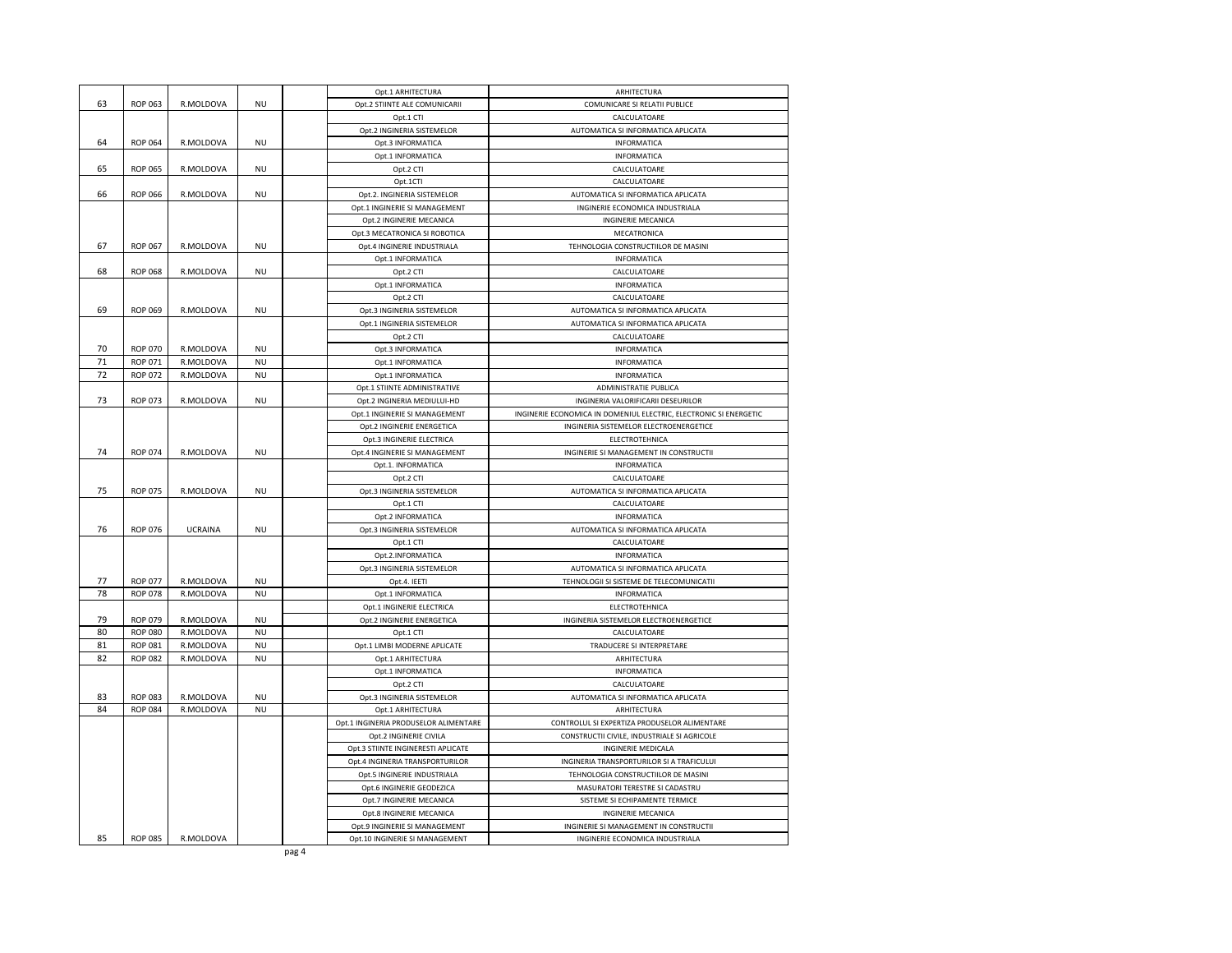|    |                |                |           | Opt.1 ARHITECTURA                     | ARHITECTURA                                                       |
|----|----------------|----------------|-----------|---------------------------------------|-------------------------------------------------------------------|
| 63 | <b>ROP 063</b> | R.MOLDOVA      | <b>NU</b> | Opt.2 STIINTE ALE COMUNICARII         | COMUNICARE SI RELATII PUBLICE                                     |
|    |                |                |           | Opt.1 CTI                             | CALCULATOARE                                                      |
|    |                |                |           | Opt.2 INGINERIA SISTEMELOR            | AUTOMATICA SI INFORMATICA APLICATA                                |
| 64 | <b>ROP 064</b> | R.MOLDOVA      | <b>NU</b> | Opt.3 INFORMATICA                     | INFORMATICA                                                       |
|    |                |                |           | Opt.1 INFORMATICA                     | <b>INFORMATICA</b>                                                |
| 65 | <b>ROP 065</b> | R.MOLDOVA      | NU        | Opt.2 CTI                             | CALCULATOARE                                                      |
|    |                |                |           | Opt.1CTI                              | CALCULATOARE                                                      |
| 66 | <b>ROP 066</b> | R.MOLDOVA      | NU        | Opt.2. INGINERIA SISTEMELOR           | AUTOMATICA SI INFORMATICA APLICATA                                |
|    |                |                |           | Opt.1 INGINERIE SI MANAGEMENT         | INGINERIE ECONOMICA INDUSTRIALA                                   |
|    |                |                |           | Opt.2 INGINERIE MECANICA              | INGINERIE MECANICA                                                |
|    |                |                |           | Opt.3 MECATRONICA SI ROBOTICA         | MECATRONICA                                                       |
| 67 | <b>ROP 067</b> | R.MOLDOVA      | <b>NU</b> | Opt.4 INGINERIE INDUSTRIALA           | TEHNOLOGIA CONSTRUCTIILOR DE MASINI                               |
|    |                |                |           | Opt.1 INFORMATICA                     | INFORMATICA                                                       |
| 68 | <b>ROP 068</b> | R.MOLDOVA      | <b>NU</b> | Opt.2 CTI                             | CALCULATOARE                                                      |
|    |                |                |           | Opt.1 INFORMATICA                     | INFORMATICA                                                       |
|    |                |                |           | Opt.2 CTI                             | CALCULATOARE                                                      |
| 69 | <b>ROP 069</b> | R.MOLDOVA      | <b>NU</b> | Opt.3 INGINERIA SISTEMELOR            | AUTOMATICA SI INFORMATICA APLICATA                                |
|    |                |                |           | Opt.1 INGINERIA SISTEMELOR            | AUTOMATICA SI INFORMATICA APLICATA                                |
|    |                |                |           | Opt.2 CTI                             | CALCULATOARE                                                      |
| 70 | <b>ROP 070</b> | R.MOLDOVA      | <b>NU</b> | Opt.3 INFORMATICA                     | INFORMATICA                                                       |
| 71 | <b>ROP 071</b> | R.MOLDOVA      | <b>NU</b> | Opt.1 INFORMATICA                     | INFORMATICA                                                       |
| 72 | <b>ROP 072</b> | R.MOLDOVA      | NU        | Opt.1 INFORMATICA                     | INFORMATICA                                                       |
|    |                |                |           | Opt.1 STIINTE ADMINISTRATIVE          | ADMINISTRATIE PUBLICA                                             |
| 73 | <b>ROP 073</b> | R.MOLDOVA      | <b>NU</b> | Opt.2 INGINERIA MEDIULUI-HD           | INGINERIA VALORIFICARII DESEURILOR                                |
|    |                |                |           | Opt.1 INGINERIE SI MANAGEMENT         | INGINERIE ECONOMICA IN DOMENIUL ELECTRIC, ELECTRONIC SI ENERGETIC |
|    |                |                |           | Opt.2 INGINERIE ENERGETICA            | INGINERIA SISTEMELOR ELECTROENERGETICE                            |
|    |                |                |           | Opt.3 INGINERIE ELECTRICA             | ELECTROTEHNICA                                                    |
| 74 | <b>ROP 074</b> | R.MOLDOVA      | <b>NU</b> | Opt.4 INGINERIE SI MANAGEMENT         | INGINERIE SI MANAGEMENT IN CONSTRUCTII                            |
|    |                |                |           | Opt.1. INFORMATICA                    | INFORMATICA                                                       |
|    |                |                |           | Opt.2 CTI                             | CALCULATOARE                                                      |
| 75 | <b>ROP 075</b> | R.MOLDOVA      | NU        | Opt.3 INGINERIA SISTEMELOR            | AUTOMATICA SI INFORMATICA APLICATA                                |
|    |                |                |           | Opt.1 CTI                             | CALCULATOARE                                                      |
|    |                |                |           | Opt.2 INFORMATICA                     | INFORMATICA                                                       |
| 76 | <b>ROP 076</b> | <b>UCRAINA</b> | NU        | Opt.3 INGINERIA SISTEMELOR            | AUTOMATICA SI INFORMATICA APLICATA                                |
|    |                |                |           | Opt.1 CTI                             | CALCULATOARE                                                      |
|    |                |                |           | Opt.2.INFORMATICA                     | INFORMATICA                                                       |
|    |                |                |           | Opt.3 INGINERIA SISTEMELOR            | AUTOMATICA SI INFORMATICA APLICATA                                |
| 77 | <b>ROP 077</b> | R.MOLDOVA      | <b>NU</b> | Opt.4. IEETI                          | TEHNOLOGII SI SISTEME DE TELECOMUNICATII                          |
| 78 | <b>ROP 078</b> | R.MOLDOVA      | <b>NU</b> | Opt.1 INFORMATICA                     | INFORMATICA                                                       |
|    |                |                |           | Opt.1 INGINERIE ELECTRICA             | ELECTROTEHNICA                                                    |
| 79 | <b>ROP 079</b> | R.MOLDOVA      | <b>NU</b> | Opt.2 INGINERIE ENERGETICA            | INGINERIA SISTEMELOR ELECTROENERGETICE                            |
| 80 | <b>ROP 080</b> | R.MOLDOVA      | <b>NU</b> | Opt.1 CTI                             | CALCULATOARE                                                      |
| 81 | <b>ROP 081</b> | R.MOLDOVA      | <b>NU</b> | Opt.1 LIMBI MODERNE APLICATE          | TRADUCERE SI INTERPRETARE                                         |
| 82 | <b>ROP 082</b> | R.MOLDOVA      | NU        | Opt.1 ARHITECTURA                     | ARHITECTURA                                                       |
|    |                |                |           | Opt.1 INFORMATICA                     | INFORMATICA                                                       |
|    |                |                |           | Opt.2 CTI                             | CALCULATOARE                                                      |
| 83 | <b>ROP 083</b> | R.MOLDOVA      | <b>NU</b> | Opt.3 INGINERIA SISTEMELOR            | AUTOMATICA SI INFORMATICA APLICATA                                |
| 84 | <b>ROP 084</b> | R.MOLDOVA      | <b>NU</b> | Opt.1 ARHITECTURA                     | ARHITECTURA                                                       |
|    |                |                |           | Opt.1 INGINERIA PRODUSELOR ALIMENTARE | CONTROLUL SI EXPERTIZA PRODUSELOR ALIMENTARE                      |
|    |                |                |           | Opt.2 INGINERIE CIVILA                | CONSTRUCTII CIVILE, INDUSTRIALE SI AGRICOLE                       |
|    |                |                |           | Opt.3 STIINTE INGINERESTI APLICATE    | INGINERIE MEDICALA                                                |
|    |                |                |           | Opt.4 INGINERIA TRANSPORTURILOR       | INGINERIA TRANSPORTURILOR SI A TRAFICULUI                         |
|    |                |                |           | Opt.5 INGINERIE INDUSTRIALA           | TEHNOLOGIA CONSTRUCTIILOR DE MASINI                               |
|    |                |                |           | Opt.6 INGINERIE GEODEZICA             | MASURATORI TERESTRE SI CADASTRU                                   |
|    |                |                |           | Opt.7 INGINERIE MECANICA              | SISTEME SI ECHIPAMENTE TERMICE                                    |
|    |                |                |           | Opt.8 INGINERIE MECANICA              | INGINERIE MECANICA                                                |
|    |                |                |           | Opt.9 INGINERIE SI MANAGEMENT         | INGINERIE SI MANAGEMENT IN CONSTRUCTII                            |
| 85 | <b>ROP 085</b> | R.MOLDOVA      |           | Opt.10 INGINERIE SI MANAGEMENT        | INGINERIE ECONOMICA INDUSTRIALA                                   |
|    |                |                |           | pag 4                                 |                                                                   |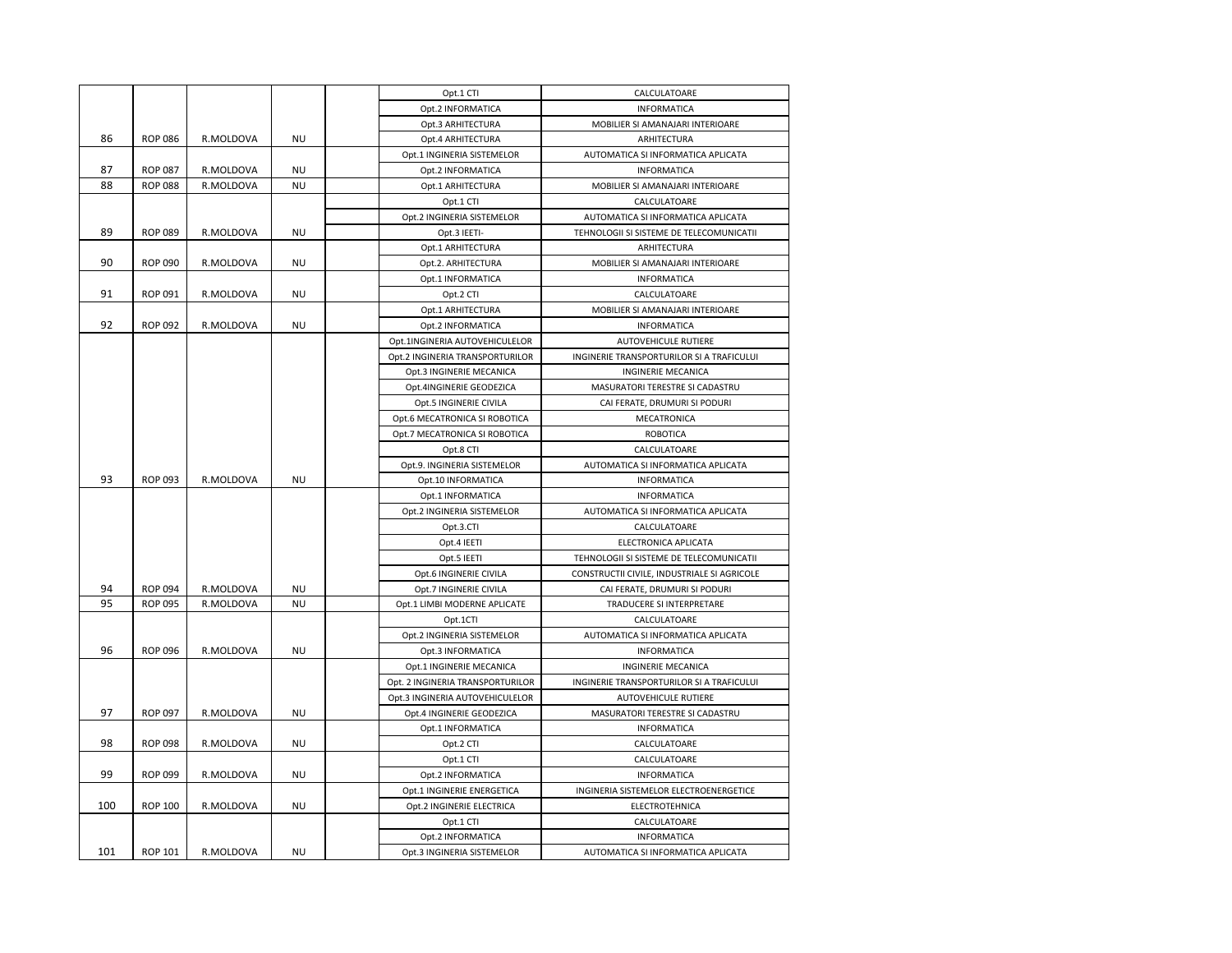|     |                |           |           | Opt.1 CTI                        | CALCULATOARE                                |
|-----|----------------|-----------|-----------|----------------------------------|---------------------------------------------|
|     |                |           |           | Opt.2 INFORMATICA                | <b>INFORMATICA</b>                          |
|     |                |           |           | Opt.3 ARHITECTURA                | MOBILIER SI AMANAJARI INTERIOARE            |
| 86  | <b>ROP 086</b> | R.MOLDOVA | <b>NU</b> | Opt.4 ARHITECTURA                | ARHITECTURA                                 |
|     |                |           |           | Opt.1 INGINERIA SISTEMELOR       | AUTOMATICA SI INFORMATICA APLICATA          |
| 87  | <b>ROP 087</b> | R.MOLDOVA | <b>NU</b> | Opt.2 INFORMATICA                | <b>INFORMATICA</b>                          |
| 88  | <b>ROP 088</b> | R.MOLDOVA | <b>NU</b> | Opt.1 ARHITECTURA                | MOBILIER SI AMANAJARI INTERIOARE            |
|     |                |           |           | Opt.1 CTI                        | CALCULATOARE                                |
|     |                |           |           | Opt.2 INGINERIA SISTEMELOR       | AUTOMATICA SI INFORMATICA APLICATA          |
| 89  | <b>ROP 089</b> | R.MOLDOVA | <b>NU</b> | Opt.3 IEETI-                     | TEHNOLOGII SI SISTEME DE TELECOMUNICATII    |
|     |                |           |           | Opt.1 ARHITECTURA                | ARHITECTURA                                 |
| 90  | <b>ROP 090</b> | R.MOLDOVA | <b>NU</b> | Opt.2. ARHITECTURA               | MOBILIER SI AMANAJARI INTERIOARE            |
|     |                |           |           | Opt.1 INFORMATICA                | <b>INFORMATICA</b>                          |
| 91  | <b>ROP 091</b> | R.MOLDOVA | <b>NU</b> | Opt.2 CTI                        | CALCULATOARE                                |
|     |                |           |           | Opt.1 ARHITECTURA                | MOBILIER SI AMANAJARI INTERIOARE            |
| 92  | <b>ROP 092</b> | R.MOLDOVA | <b>NU</b> | Opt.2 INFORMATICA                | <b>INFORMATICA</b>                          |
|     |                |           |           | Opt.1INGINERIA AUTOVEHICULELOR   | <b>AUTOVEHICULE RUTIERE</b>                 |
|     |                |           |           | Opt.2 INGINERIA TRANSPORTURILOR  | INGINERIE TRANSPORTURILOR SI A TRAFICULUI   |
|     |                |           |           | Opt.3 INGINERIE MECANICA         | INGINERIE MECANICA                          |
|     |                |           |           | Opt.4INGINERIE GEODEZICA         | MASURATORI TERESTRE SI CADASTRU             |
|     |                |           |           | Opt.5 INGINERIE CIVILA           | CAI FERATE, DRUMURI SI PODURI               |
|     |                |           |           | Opt.6 MECATRONICA SI ROBOTICA    | MECATRONICA                                 |
|     |                |           |           | Opt.7 MECATRONICA SI ROBOTICA    | ROBOTICA                                    |
|     |                |           |           | Opt.8 CTI                        | CALCULATOARE                                |
|     |                |           |           | Opt.9. INGINERIA SISTEMELOR      | AUTOMATICA SI INFORMATICA APLICATA          |
| 93  | <b>ROP 093</b> | R.MOLDOVA | <b>NU</b> | Opt.10 INFORMATICA               | <b>INFORMATICA</b>                          |
|     |                |           |           | Opt.1 INFORMATICA                | <b>INFORMATICA</b>                          |
|     |                |           |           | Opt.2 INGINERIA SISTEMELOR       | AUTOMATICA SI INFORMATICA APLICATA          |
|     |                |           |           | Opt.3.CTI                        | CALCULATOARE                                |
|     |                |           |           | Opt.4 IEETI                      | ELECTRONICA APLICATA                        |
|     |                |           |           | Opt.5 IEETI                      | TEHNOLOGII SI SISTEME DE TELECOMUNICATII    |
|     |                |           |           | Opt.6 INGINERIE CIVILA           | CONSTRUCTII CIVILE, INDUSTRIALE SI AGRICOLE |
| 94  | <b>ROP 094</b> | R.MOLDOVA | <b>NU</b> | Opt.7 INGINERIE CIVILA           | CAI FERATE, DRUMURI SI PODURI               |
| 95  | <b>ROP 095</b> | R.MOLDOVA | <b>NU</b> | Opt.1 LIMBI MODERNE APLICATE     | TRADUCERE SI INTERPRETARE                   |
|     |                |           |           | Opt.1CTI                         | CALCULATOARE                                |
|     |                |           |           | Opt.2 INGINERIA SISTEMELOR       | AUTOMATICA SI INFORMATICA APLICATA          |
| 96  | <b>ROP 096</b> | R.MOLDOVA | <b>NU</b> | Opt.3 INFORMATICA                | <b>INFORMATICA</b>                          |
|     |                |           |           | Opt.1 INGINERIE MECANICA         | INGINERIE MECANICA                          |
|     |                |           |           | Opt. 2 INGINERIA TRANSPORTURILOR | INGINERIE TRANSPORTURILOR SI A TRAFICULUI   |
|     |                |           |           | Opt.3 INGINERIA AUTOVEHICULELOR  | <b>AUTOVEHICULE RUTIERE</b>                 |
| 97  | <b>ROP 097</b> | R.MOLDOVA | <b>NU</b> | Opt.4 INGINERIE GEODEZICA        | MASURATORI TERESTRE SI CADASTRU             |
|     |                |           |           | Opt.1 INFORMATICA                | <b>INFORMATICA</b>                          |
| 98  | <b>ROP 098</b> | R.MOLDOVA | <b>NU</b> | Opt.2 CTI                        | CALCULATOARE                                |
|     |                |           |           | Opt.1 CTI                        | CALCULATOARE                                |
| 99  | <b>ROP 099</b> | R.MOLDOVA | <b>NU</b> | Opt.2 INFORMATICA                | <b>INFORMATICA</b>                          |
|     |                |           |           | Opt.1 INGINERIE ENERGETICA       | INGINERIA SISTEMELOR ELECTROENERGETICE      |
| 100 | <b>ROP 100</b> | R.MOLDOVA | <b>NU</b> | Opt.2 INGINERIE ELECTRICA        | ELECTROTEHNICA                              |
|     |                |           |           | Opt.1 CTI                        | CALCULATOARE                                |
|     |                |           |           | Opt.2 INFORMATICA                | <b>INFORMATICA</b>                          |
| 101 | ROP 101        | R.MOLDOVA | <b>NU</b> | Opt.3 INGINERIA SISTEMELOR       | AUTOMATICA SI INFORMATICA APLICATA          |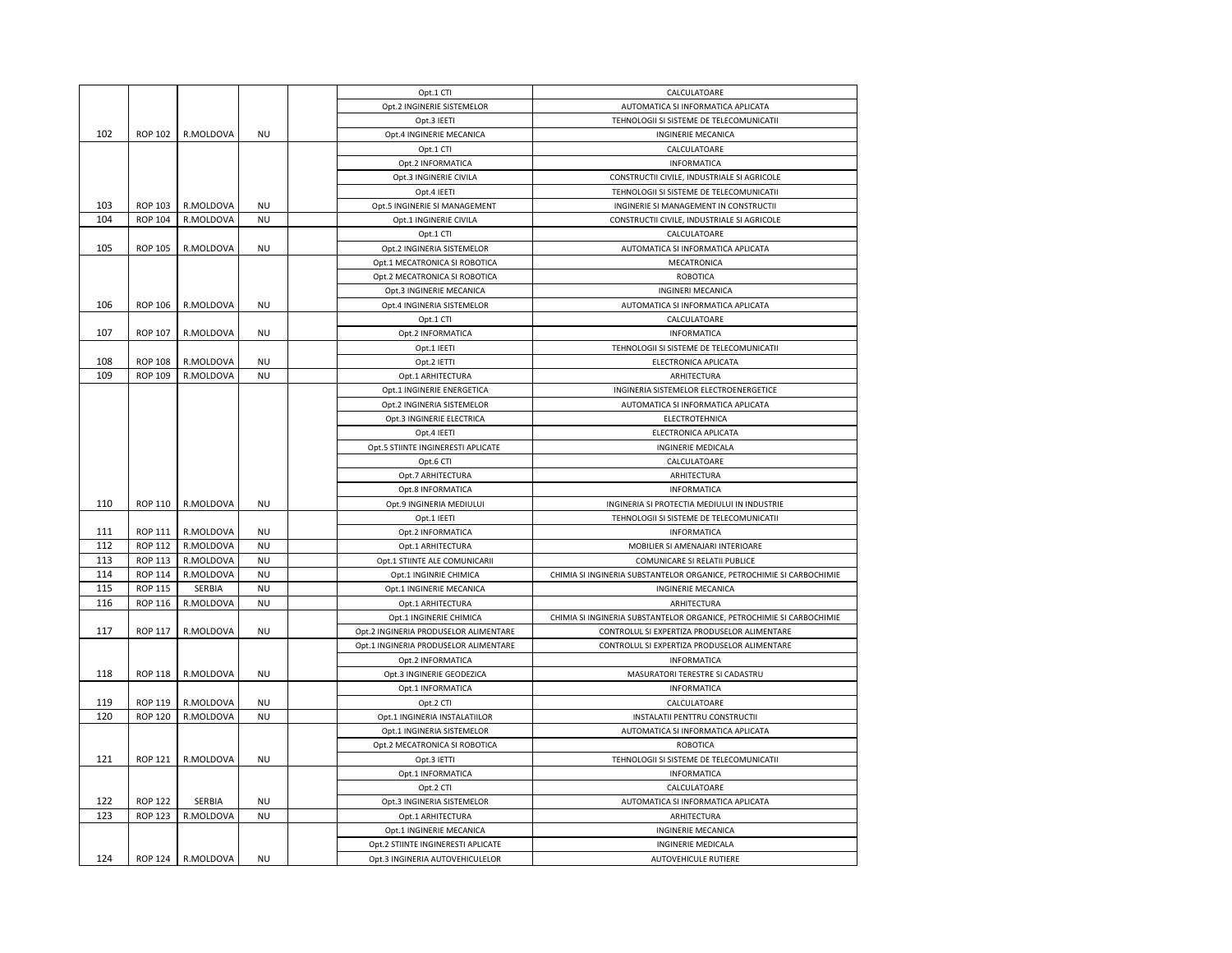|     |                |                   |           | Opt.1 CTI                             | CALCULATOARE                                                          |
|-----|----------------|-------------------|-----------|---------------------------------------|-----------------------------------------------------------------------|
|     |                |                   |           | Opt.2 INGINERIE SISTEMELOR            | AUTOMATICA SI INFORMATICA APLICATA                                    |
|     |                |                   |           | Opt.3 IEETI                           | TEHNOLOGII SI SISTEME DE TELECOMUNICATII                              |
| 102 | <b>ROP 102</b> | R.MOLDOVA         | <b>NU</b> | Opt.4 INGINERIE MECANICA              | INGINERIE MECANICA                                                    |
|     |                |                   |           | Opt.1 CTI                             | CALCULATOARE                                                          |
|     |                |                   |           | Opt.2 INFORMATICA                     | INFORMATICA                                                           |
|     |                |                   |           | Opt.3 INGINERIE CIVILA                | CONSTRUCTII CIVILE, INDUSTRIALE SI AGRICOLE                           |
|     |                |                   |           | Opt.4 IEETI                           | TEHNOLOGII SI SISTEME DE TELECOMUNICATII                              |
| 103 | <b>ROP 103</b> | R.MOLDOVA         | <b>NU</b> | Opt.5 INGINERIE SI MANAGEMENT         | INGINERIE SI MANAGEMENT IN CONSTRUCTII                                |
| 104 | <b>ROP 104</b> | R.MOLDOVA         | <b>NU</b> | Opt.1 INGINERIE CIVILA                | CONSTRUCTII CIVILE, INDUSTRIALE SI AGRICOLE                           |
|     |                |                   |           | Opt.1 CTI                             | CALCULATOARE                                                          |
| 105 | <b>ROP 105</b> | R.MOLDOVA         | <b>NU</b> | Opt.2 INGINERIA SISTEMELOR            | AUTOMATICA SI INFORMATICA APLICATA                                    |
|     |                |                   |           | Opt.1 MECATRONICA SI ROBOTICA         | MECATRONICA                                                           |
|     |                |                   |           | Opt.2 MECATRONICA SI ROBOTICA         | <b>ROBOTICA</b>                                                       |
|     |                |                   |           | Opt.3 INGINERIE MECANICA              | <b>INGINERI MECANICA</b>                                              |
| 106 | <b>ROP 106</b> | R.MOLDOVA         | <b>NU</b> | Opt.4 INGINERIA SISTEMELOR            | AUTOMATICA SI INFORMATICA APLICATA                                    |
|     |                |                   |           | Opt.1 CTI                             | CALCULATOARE                                                          |
| 107 | <b>ROP 107</b> | R.MOLDOVA         | NU        | Opt.2 INFORMATICA                     | INFORMATICA                                                           |
|     |                |                   |           | Opt.1 IEETI                           | TEHNOLOGII SI SISTEME DE TELECOMUNICATII                              |
| 108 | <b>ROP 108</b> | R.MOLDOVA         | NU        | Opt.2 IETTI                           | ELECTRONICA APLICATA                                                  |
| 109 | <b>ROP 109</b> | R.MOLDOVA         | <b>NU</b> | Opt.1 ARHITECTURA                     | ARHITECTURA                                                           |
|     |                |                   |           | Opt.1 INGINERIE ENERGETICA            | INGINERIA SISTEMELOR ELECTROENERGETICE                                |
|     |                |                   |           | Opt.2 INGINERIA SISTEMELOR            | AUTOMATICA SI INFORMATICA APLICATA                                    |
|     |                |                   |           | Opt.3 INGINERIE ELECTRICA             | ELECTROTEHNICA                                                        |
|     |                |                   |           | Opt.4 IEETI                           | ELECTRONICA APLICATA                                                  |
|     |                |                   |           |                                       |                                                                       |
|     |                |                   |           | Opt.5 STIINTE INGINERESTI APLICATE    | INGINERIE MEDICALA                                                    |
|     |                |                   |           | Opt.6 CTI                             | CALCULATOARE                                                          |
|     |                |                   |           | Opt.7 ARHITECTURA                     | ARHITECTURA                                                           |
| 110 | ROP 110        |                   |           | Opt.8 INFORMATICA                     | INFORMATICA                                                           |
|     |                | R.MOLDOVA         | NU        | Opt.9 INGINERIA MEDIULUI              | INGINERIA SI PROTECTIA MEDIULUI IN INDUSTRIE                          |
|     |                |                   |           | Opt.1 IEETI                           | TEHNOLOGII SI SISTEME DE TELECOMUNICATII                              |
| 111 | ROP 111        | R.MOLDOVA         | <b>NU</b> | Opt.2 INFORMATICA                     | <b>INFORMATICA</b>                                                    |
| 112 | <b>ROP 112</b> | R.MOLDOVA         | NU        | Opt.1 ARHITECTURA                     | MOBILIER SI AMENAJARI INTERIOARE                                      |
| 113 | <b>ROP 113</b> | R.MOLDOVA         | NU        | Opt.1 STIINTE ALE COMUNICARII         | COMUNICARE SI RELATII PUBLICE                                         |
| 114 | <b>ROP 114</b> | R.MOLDOVA         | <b>NU</b> | Opt.1 INGINRIE CHIMICA                | CHIMIA SI INGINERIA SUBSTANTELOR ORGANICE, PETROCHIMIE SI CARBOCHIMIE |
| 115 | <b>ROP 115</b> | SERBIA            | <b>NU</b> | Opt.1 INGINERIE MECANICA              | INGINERIE MECANICA                                                    |
| 116 | ROP 116        | R.MOLDOVA         | NU        | Opt.1 ARHITECTURA                     | ARHITECTURA                                                           |
|     |                |                   |           | Opt.1 INGINERIE CHIMICA               | CHIMIA SI INGINERIA SUBSTANTELOR ORGANICE, PETROCHIMIE SI CARBOCHIMIE |
| 117 | <b>ROP 117</b> | R.MOLDOVA         | <b>NU</b> | Opt.2 INGINERIA PRODUSELOR ALIMENTARE | CONTROLUL SI EXPERTIZA PRODUSELOR ALIMENTARE                          |
|     |                |                   |           | Opt.1 INGINERIA PRODUSELOR ALIMENTARE | CONTROLUL SI EXPERTIZA PRODUSELOR ALIMENTARE                          |
|     |                |                   |           | Opt.2 INFORMATICA                     | <b>INFORMATICA</b>                                                    |
| 118 | <b>ROP 118</b> | R.MOLDOVA         | <b>NU</b> | Opt.3 INGINERIE GEODEZICA             | MASURATORI TERESTRE SI CADASTRU                                       |
|     |                |                   |           | Opt.1 INFORMATICA                     | INFORMATICA                                                           |
| 119 | ROP 119        | R.MOLDOVA         | <b>NU</b> | Opt.2 CTI                             | CALCULATOARE                                                          |
| 120 | <b>ROP 120</b> | R.MOLDOVA         | NU        | Opt.1 INGINERIA INSTALATIILOR         | INSTALATII PENTTRU CONSTRUCTII                                        |
|     |                |                   |           | Opt.1 INGINERIA SISTEMELOR            | AUTOMATICA SI INFORMATICA APLICATA                                    |
|     |                |                   |           | Opt.2 MECATRONICA SI ROBOTICA         | <b>ROBOTICA</b>                                                       |
| 121 | <b>ROP 121</b> | R.MOLDOVA         | <b>NU</b> | Opt.3 IETTI                           | TEHNOLOGII SI SISTEME DE TELECOMUNICATII                              |
|     |                |                   |           | Opt.1 INFORMATICA                     | INFORMATICA                                                           |
|     |                |                   |           | Opt.2 CTI                             | CALCULATOARE                                                          |
| 122 | <b>ROP 122</b> | SERBIA            | <b>NU</b> | Opt.3 INGINERIA SISTEMELOR            | AUTOMATICA SI INFORMATICA APLICATA                                    |
| 123 | <b>ROP 123</b> | R.MOLDOVA         | <b>NU</b> | Opt.1 ARHITECTURA                     | ARHITECTURA                                                           |
|     |                |                   |           | Opt.1 INGINERIE MECANICA              | <b>INGINERIE MECANICA</b>                                             |
|     |                |                   |           | Opt.2 STIINTE INGINERESTI APLICATE    | INGINERIE MEDICALA                                                    |
| 124 |                | ROP 124 R.MOLDOVA | <b>NU</b> | Opt.3 INGINERIA AUTOVEHICULELOR       | AUTOVEHICULE RUTIERE                                                  |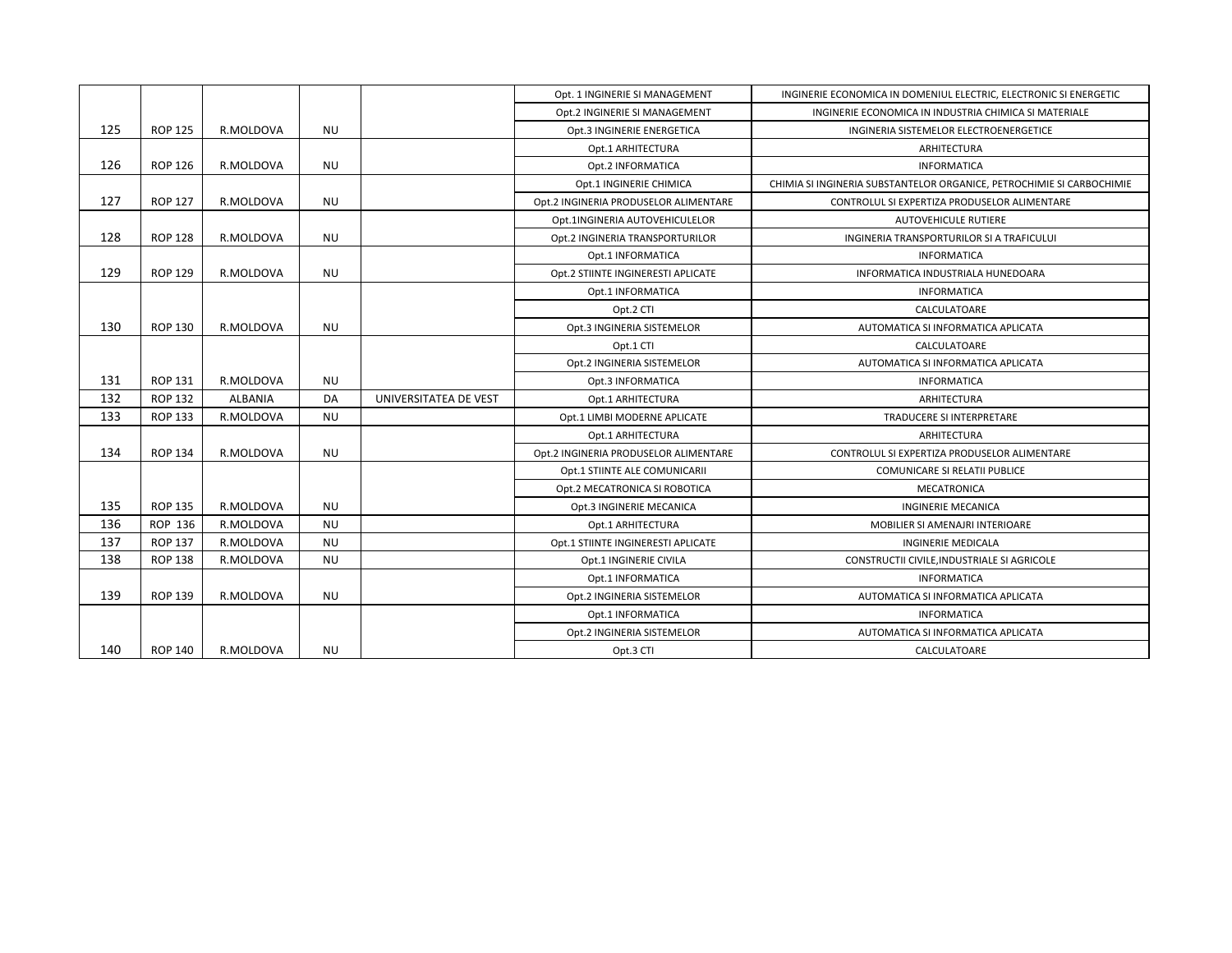|     |                |           |           |                       | Opt. 1 INGINERIE SI MANAGEMENT        | INGINERIE ECONOMICA IN DOMENIUL ELECTRIC, ELECTRONIC SI ENERGETIC     |
|-----|----------------|-----------|-----------|-----------------------|---------------------------------------|-----------------------------------------------------------------------|
|     |                |           |           |                       | Opt.2 INGINERIE SI MANAGEMENT         | INGINERIE ECONOMICA IN INDUSTRIA CHIMICA SI MATERIALE                 |
| 125 | <b>ROP 125</b> | R.MOLDOVA | <b>NU</b> |                       | Opt.3 INGINERIE ENERGETICA            | INGINERIA SISTEMELOR ELECTROENERGETICE                                |
|     |                |           |           |                       | Opt.1 ARHITECTURA                     | ARHITECTURA                                                           |
| 126 | <b>ROP 126</b> | R.MOLDOVA | <b>NU</b> |                       | Opt.2 INFORMATICA                     | <b>INFORMATICA</b>                                                    |
|     |                |           |           |                       | Opt.1 INGINERIE CHIMICA               | CHIMIA SI INGINERIA SUBSTANTELOR ORGANICE, PETROCHIMIE SI CARBOCHIMIE |
| 127 | <b>ROP 127</b> | R.MOLDOVA | <b>NU</b> |                       | Opt.2 INGINERIA PRODUSELOR ALIMENTARE | CONTROLUL SI EXPERTIZA PRODUSELOR ALIMENTARE                          |
|     |                |           |           |                       | Opt.1INGINERIA AUTOVEHICULELOR        | <b>AUTOVEHICULE RUTIERE</b>                                           |
| 128 | <b>ROP 128</b> | R.MOLDOVA | <b>NU</b> |                       | Opt.2 INGINERIA TRANSPORTURILOR       | INGINERIA TRANSPORTURILOR SI A TRAFICULUI                             |
|     |                |           |           |                       | Opt.1 INFORMATICA                     | <b>INFORMATICA</b>                                                    |
| 129 | <b>ROP 129</b> | R.MOLDOVA | <b>NU</b> |                       | Opt.2 STIINTE INGINERESTI APLICATE    | INFORMATICA INDUSTRIALA HUNEDOARA                                     |
|     |                |           |           |                       | Opt.1 INFORMATICA                     | <b>INFORMATICA</b>                                                    |
|     |                |           |           |                       | Opt.2 CTI                             | CALCULATOARE                                                          |
| 130 | <b>ROP 130</b> | R.MOLDOVA | <b>NU</b> |                       | Opt.3 INGINERIA SISTEMELOR            | AUTOMATICA SI INFORMATICA APLICATA                                    |
|     |                |           |           |                       | Opt.1 CTI                             | CALCULATOARE                                                          |
|     |                |           |           |                       | Opt.2 INGINERIA SISTEMELOR            | AUTOMATICA SI INFORMATICA APLICATA                                    |
| 131 | <b>ROP 131</b> | R.MOLDOVA | <b>NU</b> |                       | Opt.3 INFORMATICA                     | <b>INFORMATICA</b>                                                    |
| 132 | <b>ROP 132</b> | ALBANIA   | DA        | UNIVERSITATEA DE VEST | Opt.1 ARHITECTURA                     | ARHITECTURA                                                           |
| 133 | <b>ROP 133</b> | R.MOLDOVA | <b>NU</b> |                       | Opt.1 LIMBI MODERNE APLICATE          | TRADUCERE SI INTERPRETARE                                             |
|     |                |           |           |                       | Opt.1 ARHITECTURA                     | ARHITECTURA                                                           |
| 134 | <b>ROP 134</b> | R.MOLDOVA | <b>NU</b> |                       | Opt.2 INGINERIA PRODUSELOR ALIMENTARE | CONTROLUL SI EXPERTIZA PRODUSELOR ALIMENTARE                          |
|     |                |           |           |                       | Opt.1 STIINTE ALE COMUNICARII         | <b>COMUNICARE SI RELATII PUBLICE</b>                                  |
|     |                |           |           |                       | Opt.2 MECATRONICA SI ROBOTICA         | MECATRONICA                                                           |
| 135 | <b>ROP 135</b> | R.MOLDOVA | <b>NU</b> |                       | Opt.3 INGINERIE MECANICA              | <b>INGINERIE MECANICA</b>                                             |
| 136 | ROP 136        | R.MOLDOVA | <b>NU</b> |                       | Opt.1 ARHITECTURA                     | MOBILIER SI AMENAJRI INTERIOARE                                       |
| 137 | <b>ROP 137</b> | R.MOLDOVA | <b>NU</b> |                       | Opt.1 STIINTE INGINERESTI APLICATE    | <b>INGINERIE MEDICALA</b>                                             |
| 138 | <b>ROP 138</b> | R.MOLDOVA | <b>NU</b> |                       | Opt.1 INGINERIE CIVILA                | CONSTRUCTII CIVILE, INDUSTRIALE SI AGRICOLE                           |
|     |                |           |           |                       | Opt.1 INFORMATICA                     | <b>INFORMATICA</b>                                                    |
| 139 | <b>ROP 139</b> | R.MOLDOVA | <b>NU</b> |                       | Opt.2 INGINERIA SISTEMELOR            | AUTOMATICA SI INFORMATICA APLICATA                                    |
|     |                |           |           |                       | Opt.1 INFORMATICA                     | <b>INFORMATICA</b>                                                    |
|     |                |           |           |                       | Opt.2 INGINERIA SISTEMELOR            | AUTOMATICA SI INFORMATICA APLICATA                                    |
| 140 | <b>ROP 140</b> | R.MOLDOVA | <b>NU</b> |                       | Opt.3 CTI                             | CALCULATOARE                                                          |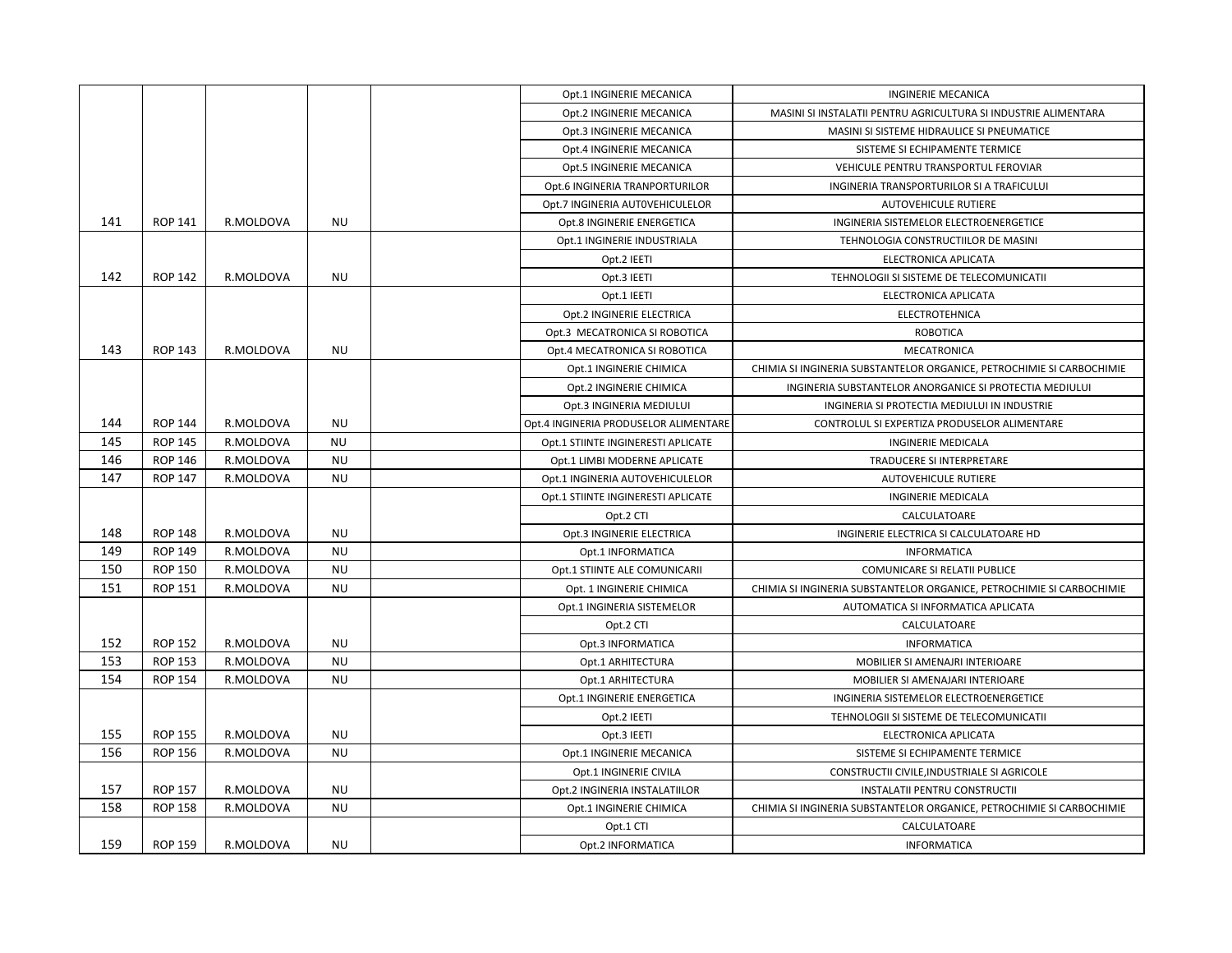|     |                |           |           | Opt.1 INGINERIE MECANICA              | <b>INGINERIE MECANICA</b>                                             |
|-----|----------------|-----------|-----------|---------------------------------------|-----------------------------------------------------------------------|
|     |                |           |           | Opt.2 INGINERIE MECANICA              | MASINI SI INSTALATII PENTRU AGRICULTURA SI INDUSTRIE ALIMENTARA       |
|     |                |           |           | Opt.3 INGINERIE MECANICA              | MASINI SI SISTEME HIDRAULICE SI PNEUMATICE                            |
|     |                |           |           | Opt.4 INGINERIE MECANICA              | SISTEME SI ECHIPAMENTE TERMICE                                        |
|     |                |           |           | Opt.5 INGINERIE MECANICA              | VEHICULE PENTRU TRANSPORTUL FEROVIAR                                  |
|     |                |           |           | Opt.6 INGINERIA TRANPORTURILOR        | INGINERIA TRANSPORTURILOR SI A TRAFICULUI                             |
|     |                |           |           | Opt.7 INGINERIA AUTOVEHICULELOR       | <b>AUTOVEHICULE RUTIERE</b>                                           |
| 141 | <b>ROP 141</b> | R.MOLDOVA | <b>NU</b> | Opt.8 INGINERIE ENERGETICA            | INGINERIA SISTEMELOR ELECTROENERGETICE                                |
|     |                |           |           | Opt.1 INGINERIE INDUSTRIALA           | TEHNOLOGIA CONSTRUCTIILOR DE MASINI                                   |
|     |                |           |           | Opt.2 IEETI                           | ELECTRONICA APLICATA                                                  |
| 142 | <b>ROP 142</b> | R.MOLDOVA | <b>NU</b> | Opt.3 IEETI                           | TEHNOLOGII SI SISTEME DE TELECOMUNICATII                              |
|     |                |           |           | Opt.1 IEETI                           | ELECTRONICA APLICATA                                                  |
|     |                |           |           | Opt.2 INGINERIE ELECTRICA             | <b>ELECTROTEHNICA</b>                                                 |
|     |                |           |           | Opt.3 MECATRONICA SI ROBOTICA         | ROBOTICA                                                              |
| 143 | <b>ROP 143</b> | R.MOLDOVA | <b>NU</b> | Opt.4 MECATRONICA SI ROBOTICA         | MECATRONICA                                                           |
|     |                |           |           | Opt.1 INGINERIE CHIMICA               | CHIMIA SI INGINERIA SUBSTANTELOR ORGANICE, PETROCHIMIE SI CARBOCHIMIE |
|     |                |           |           | Opt.2 INGINERIE CHIMICA               | INGINERIA SUBSTANTELOR ANORGANICE SI PROTECTIA MEDIULUI               |
|     |                |           |           | Opt.3 INGINERIA MEDIULUI              | INGINERIA SI PROTECTIA MEDIULUI IN INDUSTRIE                          |
| 144 | <b>ROP 144</b> | R.MOLDOVA | <b>NU</b> | Opt.4 INGINERIA PRODUSELOR ALIMENTARE | CONTROLUL SI EXPERTIZA PRODUSELOR ALIMENTARE                          |
| 145 | <b>ROP 145</b> | R.MOLDOVA | NU        | Opt.1 STIINTE INGINERESTI APLICATE    | INGINERIE MEDICALA                                                    |
| 146 | <b>ROP 146</b> | R.MOLDOVA | <b>NU</b> | Opt.1 LIMBI MODERNE APLICATE          | TRADUCERE SI INTERPRETARE                                             |
| 147 | <b>ROP 147</b> | R.MOLDOVA | <b>NU</b> | Opt.1 INGINERIA AUTOVEHICULELOR       | <b>AUTOVEHICULE RUTIERE</b>                                           |
|     |                |           |           | Opt.1 STIINTE INGINERESTI APLICATE    | <b>INGINERIE MEDICALA</b>                                             |
|     |                |           |           | Opt.2 CTI                             | CALCULATOARE                                                          |
| 148 | <b>ROP 148</b> | R.MOLDOVA | <b>NU</b> | Opt.3 INGINERIE ELECTRICA             | INGINERIE ELECTRICA SI CALCULATOARE HD                                |
| 149 | <b>ROP 149</b> | R.MOLDOVA | <b>NU</b> | Opt.1 INFORMATICA                     | <b>INFORMATICA</b>                                                    |
| 150 | <b>ROP 150</b> | R.MOLDOVA | <b>NU</b> | Opt.1 STIINTE ALE COMUNICARII         | COMUNICARE SI RELATII PUBLICE                                         |
| 151 | <b>ROP 151</b> | R.MOLDOVA | <b>NU</b> | Opt. 1 INGINERIE CHIMICA              | CHIMIA SI INGINERIA SUBSTANTELOR ORGANICE, PETROCHIMIE SI CARBOCHIMIE |
|     |                |           |           | Opt.1 INGINERIA SISTEMELOR            | AUTOMATICA SI INFORMATICA APLICATA                                    |
|     |                |           |           | Opt.2 CTI                             | CALCULATOARE                                                          |
| 152 | <b>ROP 152</b> | R.MOLDOVA | <b>NU</b> | Opt.3 INFORMATICA                     | <b>INFORMATICA</b>                                                    |
| 153 | <b>ROP 153</b> | R.MOLDOVA | <b>NU</b> | Opt.1 ARHITECTURA                     | MOBILIER SI AMENAJRI INTERIOARE                                       |
| 154 | <b>ROP 154</b> | R.MOLDOVA | <b>NU</b> | Opt.1 ARHITECTURA                     | MOBILIER SI AMENAJARI INTERIOARE                                      |
|     |                |           |           | Opt.1 INGINERIE ENERGETICA            | INGINERIA SISTEMELOR ELECTROENERGETICE                                |
|     |                |           |           | Opt.2 IEETI                           | TEHNOLOGII SI SISTEME DE TELECOMUNICATII                              |
| 155 | <b>ROP 155</b> | R.MOLDOVA | <b>NU</b> | Opt.3 IEETI                           | ELECTRONICA APLICATA                                                  |
| 156 | <b>ROP 156</b> | R.MOLDOVA | <b>NU</b> | Opt.1 INGINERIE MECANICA              | SISTEME SI ECHIPAMENTE TERMICE                                        |
|     |                |           |           | Opt.1 INGINERIE CIVILA                | CONSTRUCTII CIVILE, INDUSTRIALE SI AGRICOLE                           |
| 157 | <b>ROP 157</b> | R.MOLDOVA | <b>NU</b> | Opt.2 INGINERIA INSTALATIILOR         | <b>INSTALATII PENTRU CONSTRUCTII</b>                                  |
| 158 | <b>ROP 158</b> | R.MOLDOVA | <b>NU</b> | Opt.1 INGINERIE CHIMICA               | CHIMIA SI INGINERIA SUBSTANTELOR ORGANICE, PETROCHIMIE SI CARBOCHIMIE |
|     |                |           |           | Opt.1 CTI                             | CALCULATOARE                                                          |
| 159 | <b>ROP 159</b> | R.MOLDOVA | <b>NU</b> | Opt.2 INFORMATICA                     | <b>INFORMATICA</b>                                                    |